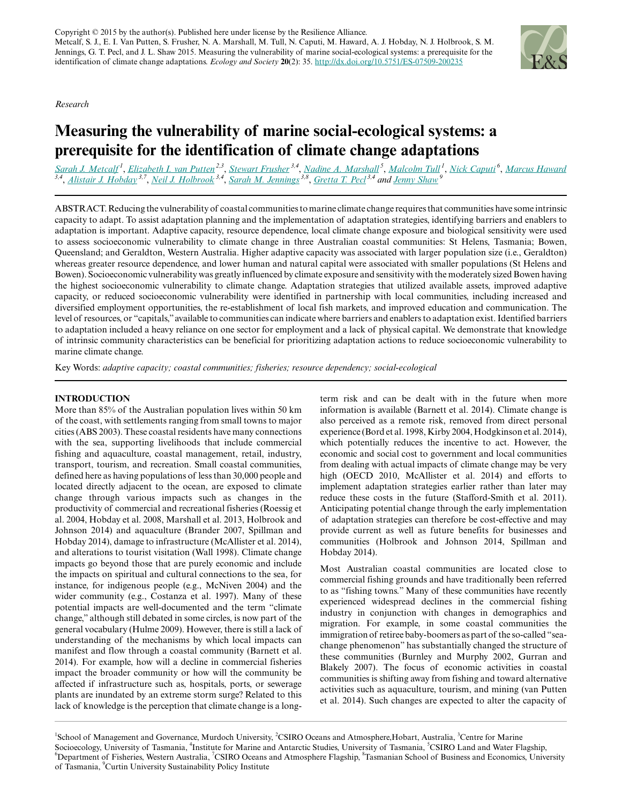*Research*

# **Measuring the vulnerability of marine social-ecological systems: a prerequisite for the identification of climate change adaptations**

<mark>[Sarah J. Metcalf](mailto:sjeyres8@gmail.com) <sup>1</sup>, [Elizabeth I. van Putten](mailto:Ingrid.vanputten@csiro.au)<sup>2,3</sup>, [Stewart Frusher](mailto:stewart.frusher@utas.edu.au)<sup>3,4</sup>, [Nadine A. Marshall](mailto:nadine.marshall@csiro.au) <sup>5</sup>, [Malcolm Tull](mailto:M.Tull@Murdoch.edu.au) <sup>1</sup>, [Nick Caputi](mailto:Nick.Caputi@fish.wa.gov.au) <sup>6</sup>, [Marcus Haward](mailto:Marcus.Haward@utas.edu.au)<br><sup>3,4</sup>, [Alistair J. Hobday](mailto:alistair.hobday@csiro.au) <sup>3,7</sup>, [Neil J. Holbrook](mailto:Neil.Holbrook@utas.edu.au) <sup>3,4</sup>, [Sarah M. Jennings](mailto:sarah.jennings@utas.edu.au)</mark>

ABSTRACT. Reducing the vulnerability of coastal communities to marine climate change requires that communities have some intrinsic capacity to adapt. To assist adaptation planning and the implementation of adaptation strategies, identifying barriers and enablers to adaptation is important. Adaptive capacity, resource dependence, local climate change exposure and biological sensitivity were used to assess socioeconomic vulnerability to climate change in three Australian coastal communities: St Helens, Tasmania; Bowen, Queensland; and Geraldton, Western Australia. Higher adaptive capacity was associated with larger population size (i.e., Geraldton) whereas greater resource dependence, and lower human and natural capital were associated with smaller populations (St Helens and Bowen). Socioeconomic vulnerability was greatly influenced by climate exposure and sensitivity with the moderately sized Bowen having the highest socioeconomic vulnerability to climate change. Adaptation strategies that utilized available assets, improved adaptive capacity, or reduced socioeconomic vulnerability were identified in partnership with local communities, including increased and diversified employment opportunities, the re-establishment of local fish markets, and improved education and communication. The level of resources, or "capitals," available to communities can indicate where barriers and enablers to adaptation exist. Identified barriers to adaptation included a heavy reliance on one sector for employment and a lack of physical capital. We demonstrate that knowledge of intrinsic community characteristics can be beneficial for prioritizing adaptation actions to reduce socioeconomic vulnerability to marine climate change.

Key Words: *adaptive capacity; coastal communities; fisheries; resource dependency; social-ecological*

# **INTRODUCTION**

More than 85% of the Australian population lives within 50 km of the coast, with settlements ranging from small towns to major cities (ABS 2003). These coastal residents have many connections with the sea, supporting livelihoods that include commercial fishing and aquaculture, coastal management, retail, industry, transport, tourism, and recreation. Small coastal communities, defined here as having populations of less than 30,000 people and located directly adjacent to the ocean, are exposed to climate change through various impacts such as changes in the productivity of commercial and recreational fisheries (Roessig et al. 2004, Hobday et al. 2008, Marshall et al. 2013, Holbrook and Johnson 2014) and aquaculture (Brander 2007, Spillman and Hobday 2014), damage to infrastructure (McAllister et al. 2014), and alterations to tourist visitation (Wall 1998). Climate change impacts go beyond those that are purely economic and include the impacts on spiritual and cultural connections to the sea, for instance, for indigenous people (e.g., McNiven 2004) and the wider community (e.g., Costanza et al. 1997). Many of these potential impacts are well-documented and the term "climate change," although still debated in some circles, is now part of the general vocabulary (Hulme 2009). However, there is still a lack of understanding of the mechanisms by which local impacts can manifest and flow through a coastal community (Barnett et al. 2014). For example, how will a decline in commercial fisheries impact the broader community or how will the community be affected if infrastructure such as, hospitals, ports, or sewerage plants are inundated by an extreme storm surge? Related to this lack of knowledge is the perception that climate change is a longterm risk and can be dealt with in the future when more information is available (Barnett et al. 2014). Climate change is also perceived as a remote risk, removed from direct personal experience (Bord et al. 1998, Kirby 2004, Hodgkinson et al. 2014), which potentially reduces the incentive to act. However, the economic and social cost to government and local communities from dealing with actual impacts of climate change may be very high (OECD 2010, McAllister et al. 2014) and efforts to implement adaptation strategies earlier rather than later may reduce these costs in the future (Stafford-Smith et al. 2011). Anticipating potential change through the early implementation of adaptation strategies can therefore be cost-effective and may provide current as well as future benefits for businesses and communities (Holbrook and Johnson 2014, Spillman and Hobday 2014).

Most Australian coastal communities are located close to commercial fishing grounds and have traditionally been referred to as "fishing towns." Many of these communities have recently experienced widespread declines in the commercial fishing industry in conjunction with changes in demographics and migration. For example, in some coastal communities the immigration of retiree baby-boomers as part of the so-called "seachange phenomenon" has substantially changed the structure of these communities (Burnley and Murphy 2002, Gurran and Blakely 2007). The focus of economic activities in coastal communities is shifting away from fishing and toward alternative activities such as aquaculture, tourism, and mining (van Putten et al. 2014). Such changes are expected to alter the capacity of

<sup>1</sup>School of Management and Governance, Murdoch University, <sup>2</sup>CSIRO Oceans and Atmosphere, Hobart, Australia, <sup>3</sup>Centre for Marine Socioecology, University of Tasmania, <sup>4</sup>Institute for Marine and Antarctic Studies, University of Tasmania, <sup>5</sup>CSIRO Land and Water Flagship, <sup>6</sup>Department of Fisheries, Western Australia, <sup>7</sup>CSIRO Oceans and Atmosphere Flagship, <sup>8</sup>Tasmanian School of Business and Economics, University of Tasmania, <sup>9</sup>Curtin University Sustainability Policy Institute

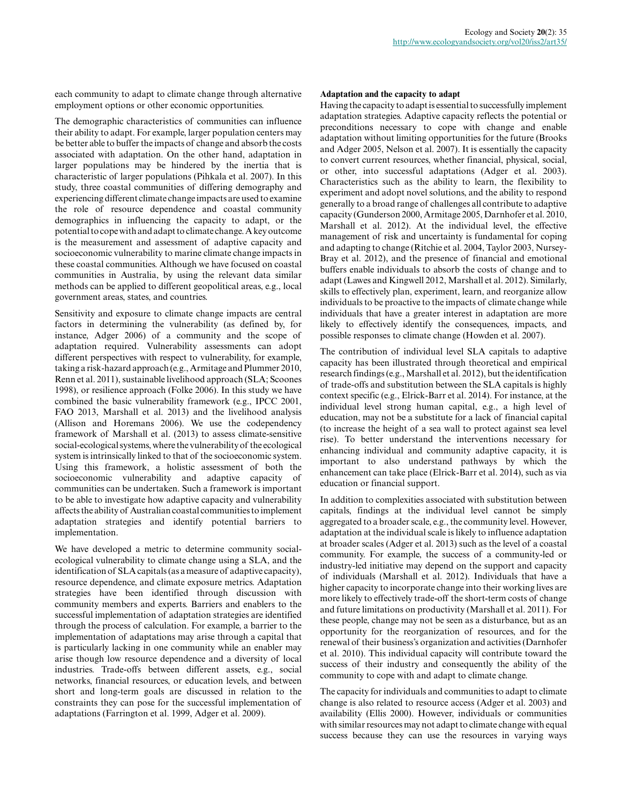each community to adapt to climate change through alternative employment options or other economic opportunities.

The demographic characteristics of communities can influence their ability to adapt. For example, larger population centers may be better able to buffer the impacts of change and absorb the costs associated with adaptation. On the other hand, adaptation in larger populations may be hindered by the inertia that is characteristic of larger populations (Pihkala et al. 2007). In this study, three coastal communities of differing demography and experiencing different climate change impacts are used to examine the role of resource dependence and coastal community demographics in influencing the capacity to adapt, or the potential to cope with and adapt to climate change. A key outcome is the measurement and assessment of adaptive capacity and socioeconomic vulnerability to marine climate change impacts in these coastal communities. Although we have focused on coastal communities in Australia, by using the relevant data similar methods can be applied to different geopolitical areas, e.g., local government areas, states, and countries.

Sensitivity and exposure to climate change impacts are central factors in determining the vulnerability (as defined by, for instance, Adger 2006) of a community and the scope of adaptation required. Vulnerability assessments can adopt different perspectives with respect to vulnerability, for example, taking a risk-hazard approach (e.g., Armitage and Plummer 2010, Renn et al. 2011), sustainable livelihood approach (SLA; Scoones 1998), or resilience approach (Folke 2006). In this study we have combined the basic vulnerability framework (e.g., IPCC 2001, FAO 2013, Marshall et al. 2013) and the livelihood analysis (Allison and Horemans 2006). We use the codependency framework of Marshall et al. (2013) to assess climate-sensitive social-ecological systems, where the vulnerability of the ecological system is intrinsically linked to that of the socioeconomic system. Using this framework, a holistic assessment of both the socioeconomic vulnerability and adaptive capacity of communities can be undertaken. Such a framework is important to be able to investigate how adaptive capacity and vulnerability affects the ability of Australian coastal communities to implement adaptation strategies and identify potential barriers to implementation.

We have developed a metric to determine community socialecological vulnerability to climate change using a SLA, and the identification of SLA capitals (as a measure of adaptive capacity), resource dependence, and climate exposure metrics. Adaptation strategies have been identified through discussion with community members and experts. Barriers and enablers to the successful implementation of adaptation strategies are identified through the process of calculation. For example, a barrier to the implementation of adaptations may arise through a capital that is particularly lacking in one community while an enabler may arise though low resource dependence and a diversity of local industries. Trade-offs between different assets, e.g., social networks, financial resources, or education levels, and between short and long-term goals are discussed in relation to the constraints they can pose for the successful implementation of adaptations (Farrington et al. 1999, Adger et al. 2009).

# **Adaptation and the capacity to adapt**

Having the capacity to adapt is essential to successfully implement adaptation strategies. Adaptive capacity reflects the potential or preconditions necessary to cope with change and enable adaptation without limiting opportunities for the future (Brooks and Adger 2005, Nelson et al. 2007). It is essentially the capacity to convert current resources, whether financial, physical, social, or other, into successful adaptations (Adger et al. 2003). Characteristics such as the ability to learn, the flexibility to experiment and adopt novel solutions, and the ability to respond generally to a broad range of challenges all contribute to adaptive capacity (Gunderson 2000, Armitage 2005, Darnhofer et al. 2010, Marshall et al. 2012). At the individual level, the effective management of risk and uncertainty is fundamental for coping and adapting to change (Ritchie et al. 2004, Taylor 2003, Nursey-Bray et al. 2012), and the presence of financial and emotional buffers enable individuals to absorb the costs of change and to adapt (Lawes and Kingwell 2012, Marshall et al. 2012). Similarly, skills to effectively plan, experiment, learn, and reorganize allow individuals to be proactive to the impacts of climate change while individuals that have a greater interest in adaptation are more likely to effectively identify the consequences, impacts, and possible responses to climate change (Howden et al. 2007).

The contribution of individual level SLA capitals to adaptive capacity has been illustrated through theoretical and empirical research findings (e.g., Marshall et al. 2012), but the identification of trade-offs and substitution between the SLA capitals is highly context specific (e.g., Elrick-Barr et al. 2014). For instance, at the individual level strong human capital, e.g., a high level of education, may not be a substitute for a lack of financial capital (to increase the height of a sea wall to protect against sea level rise). To better understand the interventions necessary for enhancing individual and community adaptive capacity, it is important to also understand pathways by which the enhancement can take place (Elrick-Barr et al. 2014), such as via education or financial support.

In addition to complexities associated with substitution between capitals, findings at the individual level cannot be simply aggregated to a broader scale, e.g., the community level. However, adaptation at the individual scale is likely to influence adaptation at broader scales (Adger et al. 2013) such as the level of a coastal community. For example, the success of a community-led or industry-led initiative may depend on the support and capacity of individuals (Marshall et al. 2012). Individuals that have a higher capacity to incorporate change into their working lives are more likely to effectively trade-off the short-term costs of change and future limitations on productivity (Marshall et al. 2011). For these people, change may not be seen as a disturbance, but as an opportunity for the reorganization of resources, and for the renewal of their business's organization and activities (Darnhofer et al. 2010). This individual capacity will contribute toward the success of their industry and consequently the ability of the community to cope with and adapt to climate change.

The capacity for individuals and communities to adapt to climate change is also related to resource access (Adger et al. 2003) and availability (Ellis 2000). However, individuals or communities with similar resources may not adapt to climate change with equal success because they can use the resources in varying ways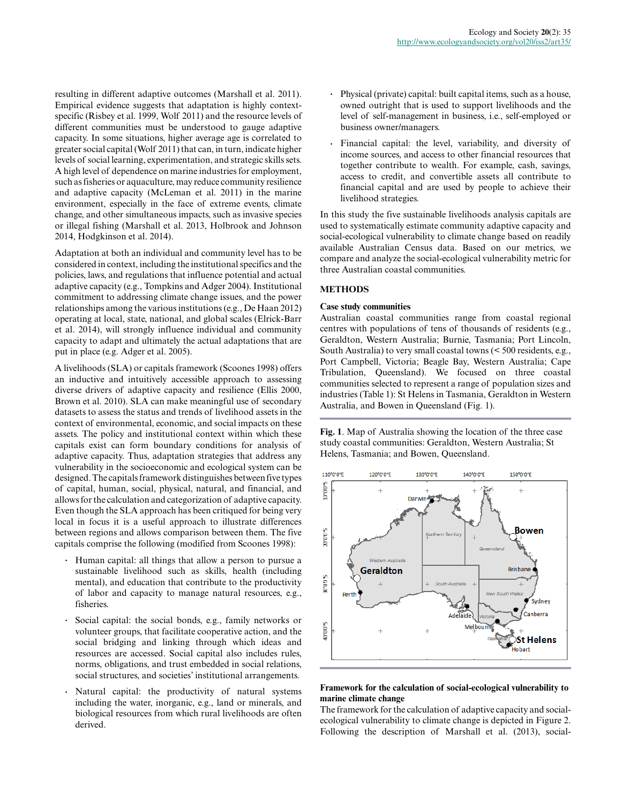resulting in different adaptive outcomes (Marshall et al. 2011). Empirical evidence suggests that adaptation is highly contextspecific (Risbey et al. 1999, Wolf 2011) and the resource levels of different communities must be understood to gauge adaptive capacity. In some situations, higher average age is correlated to greater social capital (Wolf 2011) that can, in turn, indicate higher levels of social learning, experimentation, and strategic skills sets. A high level of dependence on marine industries for employment, such as fisheries or aquaculture, may reduce community resilience and adaptive capacity (McLeman et al. 2011) in the marine environment, especially in the face of extreme events, climate change, and other simultaneous impacts, such as invasive species or illegal fishing (Marshall et al. 2013, Holbrook and Johnson 2014, Hodgkinson et al. 2014).

Adaptation at both an individual and community level has to be considered in context, including the institutional specifics and the policies, laws, and regulations that influence potential and actual adaptive capacity (e.g., Tompkins and Adger 2004). Institutional commitment to addressing climate change issues, and the power relationships among the various institutions (e.g., De Haan 2012) operating at local, state, national, and global scales (Elrick-Barr et al. 2014), will strongly influence individual and community capacity to adapt and ultimately the actual adaptations that are put in place (e.g. Adger et al. 2005).

A livelihoods (SLA) or capitals framework (Scoones 1998) offers an inductive and intuitively accessible approach to assessing diverse drivers of adaptive capacity and resilience (Ellis 2000, Brown et al. 2010). SLA can make meaningful use of secondary datasets to assess the status and trends of livelihood assets in the context of environmental, economic, and social impacts on these assets. The policy and institutional context within which these capitals exist can form boundary conditions for analysis of adaptive capacity. Thus, adaptation strategies that address any vulnerability in the socioeconomic and ecological system can be designed. The capitals framework distinguishes between five types of capital, human, social, physical, natural, and financial, and allows for the calculation and categorization of adaptive capacity. Even though the SLA approach has been critiqued for being very local in focus it is a useful approach to illustrate differences between regions and allows comparison between them. The five capitals comprise the following (modified from Scoones 1998):

- **.** Human capital: all things that allow a person to pursue a sustainable livelihood such as skills, health (including mental), and education that contribute to the productivity of labor and capacity to manage natural resources, e.g., fisheries.
- **.** Social capital: the social bonds, e.g., family networks or volunteer groups, that facilitate cooperative action, and the social bridging and linking through which ideas and resources are accessed. Social capital also includes rules, norms, obligations, and trust embedded in social relations, social structures, and societies' institutional arrangements.
- **.** Natural capital: the productivity of natural systems including the water, inorganic, e.g., land or minerals, and biological resources from which rural livelihoods are often derived.
- **.** Physical (private) capital: built capital items, such as a house, owned outright that is used to support livelihoods and the level of self-management in business, i.e., self-employed or business owner/managers.
- **.** Financial capital: the level, variability, and diversity of income sources, and access to other financial resources that together contribute to wealth. For example, cash, savings, access to credit, and convertible assets all contribute to financial capital and are used by people to achieve their livelihood strategies.

In this study the five sustainable livelihoods analysis capitals are used to systematically estimate community adaptive capacity and social-ecological vulnerability to climate change based on readily available Australian Census data. Based on our metrics, we compare and analyze the social-ecological vulnerability metric for three Australian coastal communities.

# **METHODS**

# **Case study communities**

Australian coastal communities range from coastal regional centres with populations of tens of thousands of residents (e.g., Geraldton, Western Australia; Burnie, Tasmania; Port Lincoln, South Australia) to very small coastal towns (< 500 residents, e.g., Port Campbell, Victoria; Beagle Bay, Western Australia; Cape Tribulation, Queensland). We focused on three coastal communities selected to represent a range of population sizes and industries (Table 1): St Helens in Tasmania, Geraldton in Western Australia, and Bowen in Queensland (Fig. 1).

**Fig. 1**. Map of Australia showing the location of the three case study coastal communities: Geraldton, Western Australia; St Helens, Tasmania; and Bowen, Queensland.



# **Framework for the calculation of social-ecological vulnerability to marine climate change**

The framework for the calculation of adaptive capacity and socialecological vulnerability to climate change is depicted in Figure 2. Following the description of Marshall et al. (2013), social-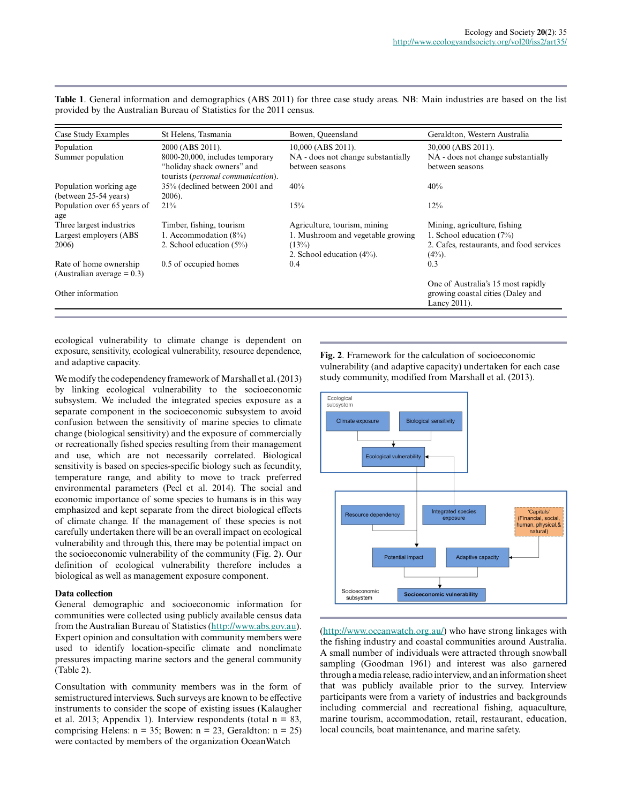| Case Study Examples           | St Helens, Tasmania                                           | Bowen, Queensland                                     | Geraldton, Western Australia                          |
|-------------------------------|---------------------------------------------------------------|-------------------------------------------------------|-------------------------------------------------------|
| Population                    | 2000 (ABS 2011).                                              | 10,000 (ABS 2011).                                    | 30,000 (ABS 2011).                                    |
| Summer population             | 8000-20,000, includes temporary<br>"holiday shack owners" and | NA - does not change substantially<br>between seasons | NA - does not change substantially<br>between seasons |
|                               | tourists (personal communication).                            |                                                       |                                                       |
| Population working age        | 35% (declined between 2001 and                                | 40%                                                   | 40%                                                   |
| (between 25-54 years)         | 2006).                                                        |                                                       |                                                       |
| Population over 65 years of   | 21%                                                           | 15%                                                   | 12%                                                   |
| age                           |                                                               |                                                       |                                                       |
| Three largest industries      | Timber, fishing, tourism                                      | Agriculture, tourism, mining                          | Mining, agriculture, fishing                          |
| Largest employers (ABS)       | 1. Accommodation $(8\%)$                                      | 1. Mushroom and vegetable growing                     | 1. School education $(7%)$                            |
| 2006)                         | 2. School education $(5\%)$                                   | (13%)                                                 | 2. Cafes, restaurants, and food services              |
|                               |                                                               | 2. School education $(4\%)$ .                         | $(4\%)$ .                                             |
| Rate of home ownership        | 0.5 of occupied homes                                         | 0.4                                                   | 0.3                                                   |
| (Australian average $= 0.3$ ) |                                                               |                                                       |                                                       |
|                               |                                                               |                                                       | One of Australia's 15 most rapidly                    |
| Other information             |                                                               |                                                       | growing coastal cities (Daley and                     |
|                               |                                                               |                                                       | Lancy 2011).                                          |

**Table 1**. General information and demographics (ABS 2011) for three case study areas. NB: Main industries are based on the list provided by the Australian Bureau of Statistics for the 2011 census.

ecological vulnerability to climate change is dependent on exposure, sensitivity, ecological vulnerability, resource dependence, and adaptive capacity.

We modify the codependency framework of Marshall et al. (2013) by linking ecological vulnerability to the socioeconomic subsystem. We included the integrated species exposure as a separate component in the socioeconomic subsystem to avoid confusion between the sensitivity of marine species to climate change (biological sensitivity) and the exposure of commercially or recreationally fished species resulting from their management and use, which are not necessarily correlated. Biological sensitivity is based on species-specific biology such as fecundity, temperature range, and ability to move to track preferred environmental parameters (Pecl et al. 2014). The social and economic importance of some species to humans is in this way emphasized and kept separate from the direct biological effects of climate change. If the management of these species is not carefully undertaken there will be an overall impact on ecological vulnerability and through this, there may be potential impact on the socioeconomic vulnerability of the community (Fig. 2). Our definition of ecological vulnerability therefore includes a biological as well as management exposure component.

# **Data collection**

General demographic and socioeconomic information for communities were collected using publicly available census data from the Australian Bureau of Statistics ([http://www.abs.gov.au\)](http://www.abs.gov.au). Expert opinion and consultation with community members were used to identify location-specific climate and nonclimate pressures impacting marine sectors and the general community (Table 2).

Consultation with community members was in the form of semistructured interviews. Such surveys are known to be effective instruments to consider the scope of existing issues (Kalaugher et al. 2013; Appendix 1). Interview respondents (total  $n = 83$ , comprising Helens:  $n = 35$ ; Bowen:  $n = 23$ , Geraldton:  $n = 25$ ) were contacted by members of the organization OceanWatch

**Fig. 2**. Framework for the calculation of socioeconomic vulnerability (and adaptive capacity) undertaken for each case study community, modified from Marshall et al. (2013).



([http://www.oceanwatch.org.au/\)](http://www.oceanwatch.org.au/) who have strong linkages with the fishing industry and coastal communities around Australia. A small number of individuals were attracted through snowball sampling (Goodman 1961) and interest was also garnered through a media release, radio interview, and an information sheet that was publicly available prior to the survey. Interview participants were from a variety of industries and backgrounds including commercial and recreational fishing, aquaculture, marine tourism, accommodation, retail, restaurant, education, local councils, boat maintenance, and marine safety.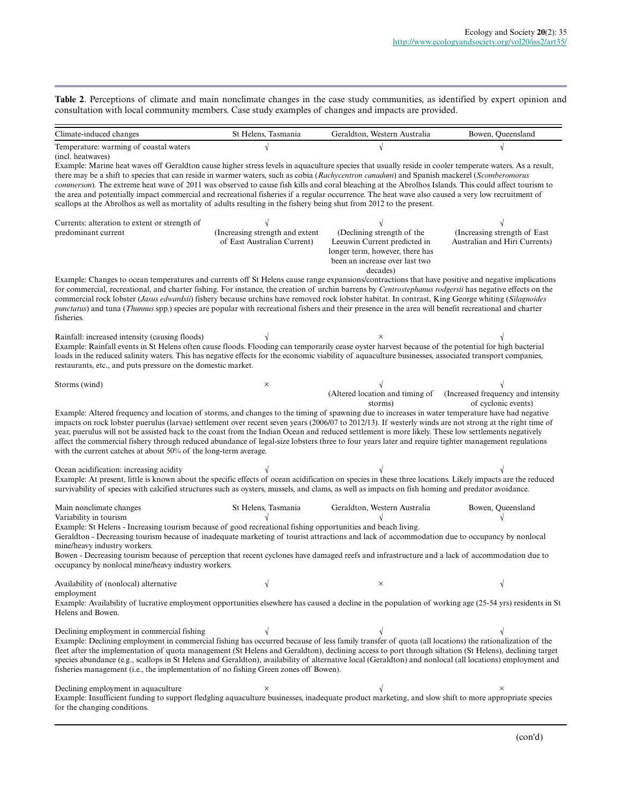**Table 2**. Perceptions of climate and main nonclimate changes in the case study communities, as identified by expert opinion and consultation with local community members. Case study examples of changes and impacts are provided.

| Climate-induced changes                                                                                                                                                                                                                                                                                                                                                                                                                                                                                                                                                                                                                                                                                                                                           | St Helens, Tasmania                                            | Geraldton, Western Australia                                                                                                                | Bowen, Queensland                                              |
|-------------------------------------------------------------------------------------------------------------------------------------------------------------------------------------------------------------------------------------------------------------------------------------------------------------------------------------------------------------------------------------------------------------------------------------------------------------------------------------------------------------------------------------------------------------------------------------------------------------------------------------------------------------------------------------------------------------------------------------------------------------------|----------------------------------------------------------------|---------------------------------------------------------------------------------------------------------------------------------------------|----------------------------------------------------------------|
| Temperature: warming of coastal waters                                                                                                                                                                                                                                                                                                                                                                                                                                                                                                                                                                                                                                                                                                                            |                                                                |                                                                                                                                             |                                                                |
| (incl. heatwaves)<br>Example: Marine heat waves off Geraldton cause higher stress levels in aquaculture species that usually reside in cooler temperate waters. As a result,<br>there may be a shift to species that can reside in warmer waters, such as cobia (Rachycentron canadum) and Spanish mackerel (Scomberomorus<br>commerson). The extreme heat wave of 2011 was observed to cause fish kills and coral bleaching at the Abrolhos Islands. This could affect tourism to<br>the area and potentially impact commercial and recreational fisheries if a regular occurrence. The heat wave also caused a very low recruitment of<br>scallops at the Abrolhos as well as mortality of adults resulting in the fishery being shut from 2012 to the present. |                                                                |                                                                                                                                             |                                                                |
| Currents: alteration to extent or strength of<br>predominant current                                                                                                                                                                                                                                                                                                                                                                                                                                                                                                                                                                                                                                                                                              | (Increasing strength and extent<br>of East Australian Current) | (Declining strength of the<br>Leeuwin Current predicted in<br>longer term, however, there has<br>been an increase over last two<br>decades) | (Increasing strength of East)<br>Australian and Hiri Currents) |
| Example: Changes to ocean temperatures and currents off St Helens cause range expansions/contractions that have positive and negative implications<br>for commercial, recreational, and charter fishing. For instance, the creation of urchin barrens by Centrostephanus rodgersii has negative effects on the<br>commercial rock lobster (Jasus edwardsii) fishery because urchins have removed rock lobster habitat. In contrast, King George whiting (Silagnoides<br>punctatus) and tuna (Thunnus spp.) species are popular with recreational fishers and their presence in the area will benefit recreational and charter<br>fisheries.                                                                                                                       |                                                                |                                                                                                                                             |                                                                |
| Rainfall: increased intensity (causing floods)<br>Example: Rainfall events in St Helens often cause floods. Flooding can temporarily cease oyster harvest because of the potential for high bacterial<br>loads in the reduced salinity waters. This has negative effects for the economic viability of aquaculture businesses, associated transport companies,<br>restaurants, etc., and puts pressure on the domestic market.                                                                                                                                                                                                                                                                                                                                    |                                                                | $\times$                                                                                                                                    |                                                                |
| Storms (wind)                                                                                                                                                                                                                                                                                                                                                                                                                                                                                                                                                                                                                                                                                                                                                     | $\times$                                                       | (Altered location and timing of                                                                                                             | (Increased frequency and intensity                             |
| Example: Altered frequency and location of storms, and changes to the timing of spawning due to increases in water temperature have had negative<br>impacts on rock lobster puerulus (larvae) settlement over recent seven years (2006/07 to 2012/13). If westerly winds are not strong at the right time of<br>year, puerulus will not be assisted back to the coast from the Indian Ocean and reduced settlement is more likely. These low settlements negatively<br>affect the commercial fishery through reduced abundance of legal-size lobsters three to four years later and require tighter management regulations<br>with the current catches at about 50% of the long-term average.                                                                     |                                                                | storms)                                                                                                                                     | of cyclonic events)                                            |
| Ocean acidification: increasing acidity<br>Example: At present, little is known about the specific effects of ocean acidification on species in these three locations. Likely impacts are the reduced<br>survivability of species with calcified structures such as oysters, mussels, and clams, as well as impacts on fish homing and predator avoidance.                                                                                                                                                                                                                                                                                                                                                                                                        |                                                                |                                                                                                                                             |                                                                |
| Main nonclimate changes                                                                                                                                                                                                                                                                                                                                                                                                                                                                                                                                                                                                                                                                                                                                           | St Helens, Tasmania                                            | Geraldton, Western Australia                                                                                                                | Bowen, Queensland                                              |
| Variability in tourism<br>Example: St Helens - Increasing tourism because of good recreational fishing opportunities and beach living.<br>Geraldton - Decreasing tourism because of inadequate marketing of tourist attractions and lack of accommodation due to occupancy by nonlocal<br>mine/heavy industry workers.<br>Bowen - Decreasing tourism because of perception that recent cyclones have damaged reefs and infrastructure and a lack of accommodation due to                                                                                                                                                                                                                                                                                          |                                                                |                                                                                                                                             |                                                                |
| occupancy by nonlocal mine/heavy industry workers.                                                                                                                                                                                                                                                                                                                                                                                                                                                                                                                                                                                                                                                                                                                |                                                                |                                                                                                                                             |                                                                |
| Availability of (nonlocal) alternative<br>employment<br>Example: Availability of lucrative employment opportunities elsewhere has caused a decline in the population of working age (25-54 yrs) residents in St                                                                                                                                                                                                                                                                                                                                                                                                                                                                                                                                                   | V                                                              | ×                                                                                                                                           | $\sqrt{ }$                                                     |
| Helens and Bowen.                                                                                                                                                                                                                                                                                                                                                                                                                                                                                                                                                                                                                                                                                                                                                 |                                                                |                                                                                                                                             |                                                                |
| Declining employment in commercial fishing<br>Example: Declining employment in commercial fishing has occurred because of less family transfer of quota (all locations) the rationalization of the<br>fleet after the implementation of quota management (St Helens and Geraldton), declining access to port through siltation (St Helens), declining target<br>species abundance (e.g., scallops in St Helens and Geraldton), availability of alternative local (Geraldton) and nonlocal (all locations) employment and<br>fisheries management (i.e., the implementation of no fishing Green zones off Bowen).                                                                                                                                                  |                                                                |                                                                                                                                             |                                                                |
| Declining employment in aquaculture<br>Example: Insufficient funding to support fledgling aquaculture businesses, inadequate product marketing, and slow shift to more appropriate species<br>for the changing conditions.                                                                                                                                                                                                                                                                                                                                                                                                                                                                                                                                        | X                                                              |                                                                                                                                             | $\times$                                                       |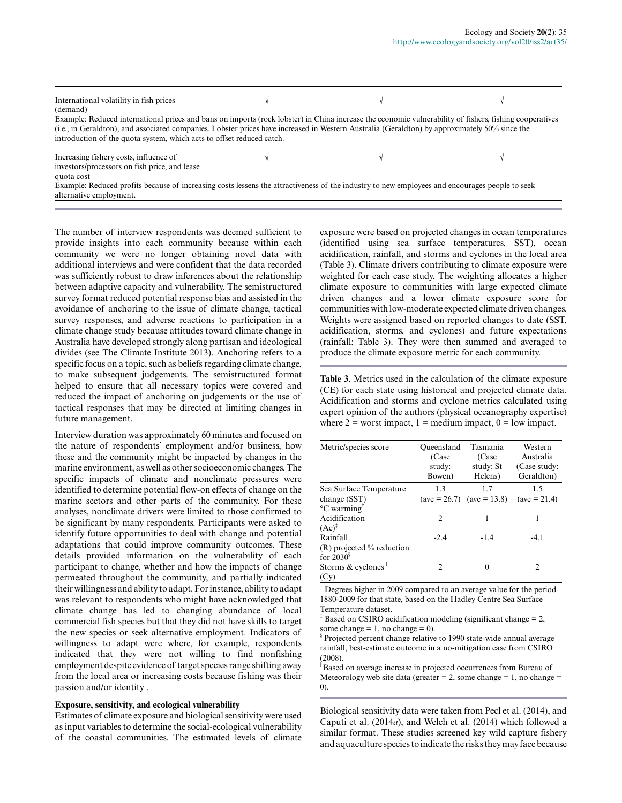| International volatility in fish prices                                                                                                                                                                                |  |  |
|------------------------------------------------------------------------------------------------------------------------------------------------------------------------------------------------------------------------|--|--|
| (demand)<br>Example: Reduced international prices and bans on imports (rock lobster) in China increase the economic vulnerability of fishers, fishing cooperatives                                                     |  |  |
| (i.e., in Geraldton), and associated companies. Lobster prices have increased in Western Australia (Geraldton) by approximately 50% since the<br>introduction of the quota system, which acts to offset reduced catch. |  |  |
| Increasing fishery costs, influence of<br>investors/processors on fish price, and lease                                                                                                                                |  |  |
| quota cost                                                                                                                                                                                                             |  |  |
| Example: Reduced profits because of increasing costs lessens the attractiveness of the industry to new employees and encourages people to seek<br>alternative employment.                                              |  |  |

The number of interview respondents was deemed sufficient to provide insights into each community because within each community we were no longer obtaining novel data with additional interviews and were confident that the data recorded was sufficiently robust to draw inferences about the relationship between adaptive capacity and vulnerability. The semistructured survey format reduced potential response bias and assisted in the avoidance of anchoring to the issue of climate change, tactical survey responses, and adverse reactions to participation in a climate change study because attitudes toward climate change in Australia have developed strongly along partisan and ideological divides (see The Climate Institute 2013). Anchoring refers to a specific focus on a topic, such as beliefs regarding climate change, to make subsequent judgements. The semistructured format helped to ensure that all necessary topics were covered and reduced the impact of anchoring on judgements or the use of tactical responses that may be directed at limiting changes in future management.

Interview duration was approximately 60 minutes and focused on the nature of respondents' employment and/or business, how these and the community might be impacted by changes in the marine environment, as well as other socioeconomic changes. The specific impacts of climate and nonclimate pressures were identified to determine potential flow-on effects of change on the marine sectors and other parts of the community. For these analyses, nonclimate drivers were limited to those confirmed to be significant by many respondents. Participants were asked to identify future opportunities to deal with change and potential adaptations that could improve community outcomes. These details provided information on the vulnerability of each participant to change, whether and how the impacts of change permeated throughout the community, and partially indicated their willingness and ability to adapt. For instance, ability to adapt was relevant to respondents who might have acknowledged that climate change has led to changing abundance of local commercial fish species but that they did not have skills to target the new species or seek alternative employment. Indicators of willingness to adapt were where, for example, respondents indicated that they were not willing to find nonfishing employment despite evidence of target species range shifting away from the local area or increasing costs because fishing was their passion and/or identity .

## **Exposure, sensitivity, and ecological vulnerability**

Estimates of climate exposure and biological sensitivity were used as input variables to determine the social-ecological vulnerability of the coastal communities. The estimated levels of climate exposure were based on projected changes in ocean temperatures (identified using sea surface temperatures, SST), ocean acidification, rainfall, and storms and cyclones in the local area (Table 3). Climate drivers contributing to climate exposure were weighted for each case study. The weighting allocates a higher climate exposure to communities with large expected climate driven changes and a lower climate exposure score for communities with low-moderate expected climate driven changes. Weights were assigned based on reported changes to date (SST, acidification, storms, and cyclones) and future expectations (rainfall; Table 3). They were then summed and averaged to produce the climate exposure metric for each community.

**Table 3**. Metrics used in the calculation of the climate exposure (CE) for each state using historical and projected climate data. Acidification and storms and cyclone metrics calculated using expert opinion of the authors (physical oceanography expertise) where  $2 =$  worst impact,  $1 =$  medium impact,  $0 =$  low impact.

| Metric/species score        | Oueensland<br>(Case<br>study:<br>Bowen) | Tasmania<br>(Case<br>study: St<br>Helens) | Western<br>Australia<br>(Case study:<br>Geraldton) |
|-----------------------------|-----------------------------------------|-------------------------------------------|----------------------------------------------------|
| Sea Surface Temperature     | 13                                      | 17                                        | 1.5                                                |
| change (SST)                |                                         | $(ave = 26.7)$ $(ave = 13.8)$             | $(ave = 21.4)$                                     |
| °C warming                  |                                         |                                           |                                                    |
| Acidification               | 2                                       |                                           |                                                    |
| $(Ac)^{T}$                  |                                         |                                           |                                                    |
| Rainfall                    | $-2.4$                                  | $-1.4$                                    | $-4.1$                                             |
| $(R)$ projected % reduction |                                         |                                           |                                                    |
| for $2030^{\circ}$          |                                         |                                           |                                                    |
| Storms & cyclones           | 2                                       | $\mathbf{0}$                              | 2                                                  |
| (Cy)                        |                                         |                                           |                                                    |

† Degrees higher in 2009 compared to an average value for the period 1880-2009 for that state, based on the Hadley Centre Sea Surface Temperature dataset.

‡ Based on CSIRO acidification modeling (significant change = 2, some change  $= 1$ , no change  $= 0$ ).

§ Projected percent change relative to 1990 state-wide annual average rainfall, best-estimate outcome in a no-mitigation case from CSIRO (2008).

 Based on average increase in projected occurrences from Bureau of Meteorology web site data (greater  $= 2$ , some change  $= 1$ , no change  $=$ 0).

Biological sensitivity data were taken from Pecl et al. (2014), and Caputi et al. (2014*a*), and Welch et al. (2014) which followed a similar format. These studies screened key wild capture fishery and aquaculture species to indicate the risks they may face because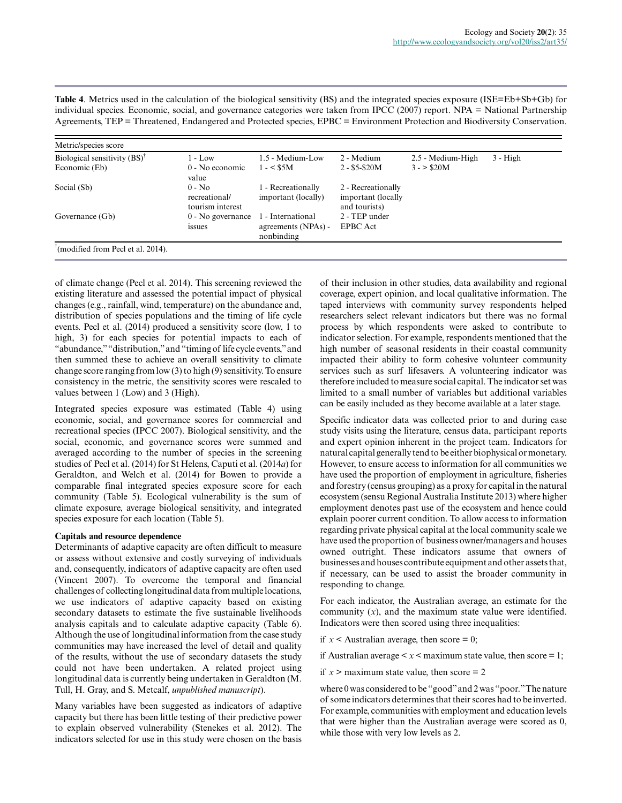**Table 4**. Metrics used in the calculation of the biological sensitivity (BS) and the integrated species exposure (ISE=Eb+Sb+Gb) for individual species. Economic, social, and governance categories were taken from IPCC (2007) report. NPA = National Partnership Agreements, TEP = Threatened, Endangered and Protected species, EPBC = Environment Protection and Biodiversity Conservation.

| Metric/species score                                     |                                               |                                                        |                                                           |                                  |            |
|----------------------------------------------------------|-----------------------------------------------|--------------------------------------------------------|-----------------------------------------------------------|----------------------------------|------------|
| Biological sensitivity $(BS)^{\dagger}$<br>Economic (Eb) | $1 - Low$<br>$0 - No$ economic                | 1.5 - Medium-Low<br>$1 - <$ \$5M                       | 2 - Medium<br>$2 - $5 - $20M$                             | 2.5 - Medium-High<br>$3 - 2820M$ | $3 - High$ |
|                                                          | value                                         |                                                        |                                                           |                                  |            |
| Social (Sb)                                              | $0 - No$<br>recreational/<br>tourism interest | 1 - Recreationally<br>important (locally)              | 2 - Recreationally<br>important (locally<br>and tourists) |                                  |            |
| Governance (Gb)                                          | 0 - No governance<br><i>ssues</i>             | 1 - International<br>agreements (NPAs) -<br>nonbinding | 2 - TEP under<br><b>EPBC</b> Act                          |                                  |            |
| (modified from Pecl et al. 2014).                        |                                               |                                                        |                                                           |                                  |            |

of climate change (Pecl et al. 2014). This screening reviewed the existing literature and assessed the potential impact of physical changes (e.g., rainfall, wind, temperature) on the abundance and, distribution of species populations and the timing of life cycle events. Pecl et al. (2014) produced a sensitivity score (low, 1 to high, 3) for each species for potential impacts to each of "abundance," "distribution," and "timing of life cycle events," and then summed these to achieve an overall sensitivity to climate change score ranging from low (3) to high (9) sensitivity. To ensure consistency in the metric, the sensitivity scores were rescaled to values between 1 (Low) and 3 (High).

Integrated species exposure was estimated (Table 4) using economic, social, and governance scores for commercial and recreational species (IPCC 2007). Biological sensitivity, and the social, economic, and governance scores were summed and averaged according to the number of species in the screening studies of Pecl et al. (2014) for St Helens, Caputi et al. (2014*a*) for Geraldton, and Welch et al. (2014) for Bowen to provide a comparable final integrated species exposure score for each community (Table 5). Ecological vulnerability is the sum of climate exposure, average biological sensitivity, and integrated species exposure for each location (Table 5).

## **Capitals and resource dependence**

Determinants of adaptive capacity are often difficult to measure or assess without extensive and costly surveying of individuals and, consequently, indicators of adaptive capacity are often used (Vincent 2007). To overcome the temporal and financial challenges of collecting longitudinal data from multiple locations, we use indicators of adaptive capacity based on existing secondary datasets to estimate the five sustainable livelihoods analysis capitals and to calculate adaptive capacity (Table 6). Although the use of longitudinal information from the case study communities may have increased the level of detail and quality of the results, without the use of secondary datasets the study could not have been undertaken. A related project using longitudinal data is currently being undertaken in Geraldton (M. Tull, H. Gray, and S. Metcalf, *unpublished manuscript*).

Many variables have been suggested as indicators of adaptive capacity but there has been little testing of their predictive power to explain observed vulnerability (Stenekes et al. 2012). The indicators selected for use in this study were chosen on the basis

of their inclusion in other studies, data availability and regional coverage, expert opinion, and local qualitative information. The taped interviews with community survey respondents helped researchers select relevant indicators but there was no formal process by which respondents were asked to contribute to indicator selection. For example, respondents mentioned that the high number of seasonal residents in their coastal community impacted their ability to form cohesive volunteer community services such as surf lifesavers. A volunteering indicator was therefore included to measure social capital. The indicator set was limited to a small number of variables but additional variables can be easily included as they become available at a later stage.

Specific indicator data was collected prior to and during case study visits using the literature, census data, participant reports and expert opinion inherent in the project team. Indicators for natural capital generally tend to be either biophysical or monetary. However, to ensure access to information for all communities we have used the proportion of employment in agriculture, fisheries and forestry (census grouping) as a proxy for capital in the natural ecosystem (sensu Regional Australia Institute 2013) where higher employment denotes past use of the ecosystem and hence could explain poorer current condition. To allow access to information regarding private physical capital at the local community scale we have used the proportion of business owner/managers and houses owned outright. These indicators assume that owners of businesses and houses contribute equipment and other assets that, if necessary, can be used to assist the broader community in responding to change.

For each indicator, the Australian average, an estimate for the community  $(x)$ , and the maximum state value were identified. Indicators were then scored using three inequalities:

if  $x \leq$  Australian average, then score  $= 0$ ;

if Australian average  $\leq x \leq$  maximum state value, then score  $= 1$ ;

if  $x >$  maximum state value, then score  $= 2$ 

where 0 was considered to be "good" and 2 was "poor." The nature of some indicators determines that their scores had to be inverted. For example, communities with employment and education levels that were higher than the Australian average were scored as 0, while those with very low levels as 2.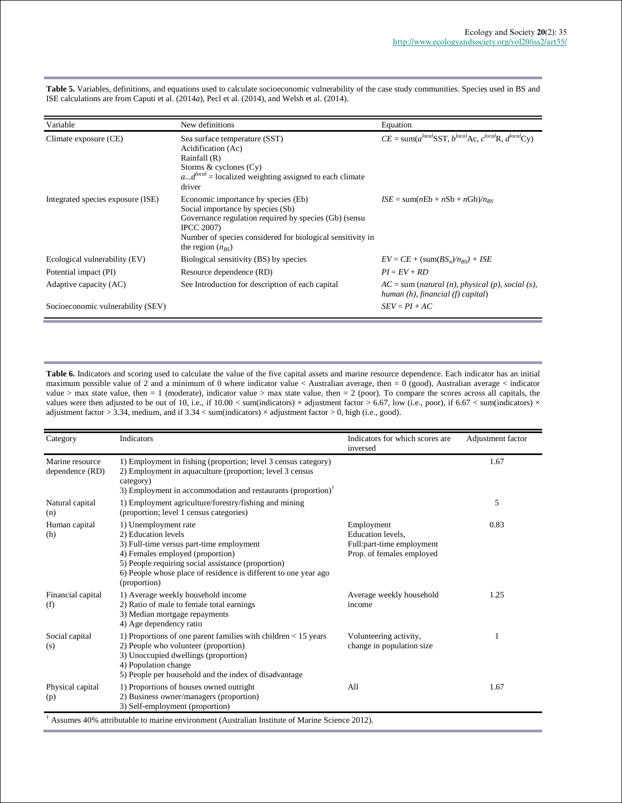Table 5. Variables, definitions, and equations used to calculate socioeconomic vulnerability of the case study communities. Species used in BS and ISE calculations are from Caputi et al. (2014*a*), Pecl et al. (2014), and Welsh et al. (2014).

| Variable                          | New definitions                                                                                                                                                                                                                               | Equation                                                                                |
|-----------------------------------|-----------------------------------------------------------------------------------------------------------------------------------------------------------------------------------------------------------------------------------------------|-----------------------------------------------------------------------------------------|
| Climate exposure (CE)             | Sea surface temperature (SST)<br>Acidification (Ac)<br>Rainfall (R)<br>Storms $\&$ cyclones $(Cy)$<br>$ad^{local}$ = localized weighting assigned to each climate<br>driver                                                                   | $CE = sum(a^{local}SST, b^{local}Ac, c^{local}R, d^{local}Cy)$                          |
| Integrated species exposure (ISE) | Economic importance by species (Eb)<br>Social importance by species (Sb)<br>Governance regulation required by species (Gb) (sensu<br><b>IPCC 2007)</b><br>Number of species considered for biological sensitivity in<br>the region $(n_{RS})$ | $ISE = sum(nEb + nSb + nGb)/n_{BS}$                                                     |
| Ecological vulnerability (EV)     | Biological sensitivity (BS) by species                                                                                                                                                                                                        | $EV = CE + (sum(BS_n)/n_{BS}) + ISE$                                                    |
| Potential impact (PI)             | Resource dependence (RD)                                                                                                                                                                                                                      | $PI = EV + RD$                                                                          |
| Adaptive capacity (AC)            | See Introduction for description of each capital                                                                                                                                                                                              | $AC =$ sum (natural (n), physical (p), social (s),<br>human (h), financial (f) capital) |
| Socioeconomic vulnerability (SEV) |                                                                                                                                                                                                                                               | $SEV = PI + AC$                                                                         |

**Table 6.** Indicators and scoring used to calculate the value of the five capital assets and marine resource dependence. Each indicator has an initial maximum possible value of 2 and a minimum of 0 where indicator value < Australian average, then = 0 (good), Australian average < indicator value > max state value, then = 1 (moderate), indicator value > max state value, then = 2 (poor). To compare the scores across all capitals, the values were then adjusted to be out of 10, i.e., if  $10.00 <$  sum(indicators)  $\times$  adjustment factor  $> 6.67$ , low (i.e., poor), if  $6.67 <$  sum(indicators)  $\times$ adjustment factor > 3.34, medium, and if  $3.34 <$  sum(indicators)  $\times$  adjustment factor > 0, high (i.e., good).

| Indicators                                                                                                                                                                                                                                                           | Indicators for which scores are<br>inversed                                               | Adjustment factor                                                                                          |
|----------------------------------------------------------------------------------------------------------------------------------------------------------------------------------------------------------------------------------------------------------------------|-------------------------------------------------------------------------------------------|------------------------------------------------------------------------------------------------------------|
| 1) Employment in fishing (proportion; level 3 census category)<br>2) Employment in aquaculture (proportion; level 3 census<br>category)<br>3) Employment in accommodation and restaurants (proportion) <sup><math>\dagger</math></sup>                               |                                                                                           | 1.67                                                                                                       |
| 1) Employment agriculture/forestry/fishing and mining<br>(proportion; level 1 census categories)                                                                                                                                                                     |                                                                                           | 5                                                                                                          |
| 1) Unemployment rate<br>2) Education levels<br>3) Full-time versus part-time employment<br>4) Females employed (proportion)<br>5) People requiring social assistance (proportion)<br>6) People whose place of residence is different to one year ago<br>(proportion) | Employment<br>Education levels,<br>Full:part-time employment<br>Prop. of females employed | 0.83                                                                                                       |
| 1) Average weekly household income<br>2) Ratio of male to female total earnings<br>3) Median mortgage repayments<br>4) Age dependency ratio                                                                                                                          | Average weekly household<br>income                                                        | 1.25                                                                                                       |
| 1) Proportions of one parent families with children $<$ 15 years<br>2) People who volunteer (proportion)<br>3) Unoccupied dwellings (proportion)<br>4) Population change<br>5) People per household and the index of disadvantage                                    | Volunteering activity,<br>change in population size                                       |                                                                                                            |
| 1) Proportions of houses owned outright<br>2) Business owner/managers (proportion)<br>3) Self-employment (proportion)                                                                                                                                                | All                                                                                       | 1.67                                                                                                       |
|                                                                                                                                                                                                                                                                      |                                                                                           | <sup>†</sup> Assumes 40% attributable to marine environment (Australian Institute of Marine Science 2012). |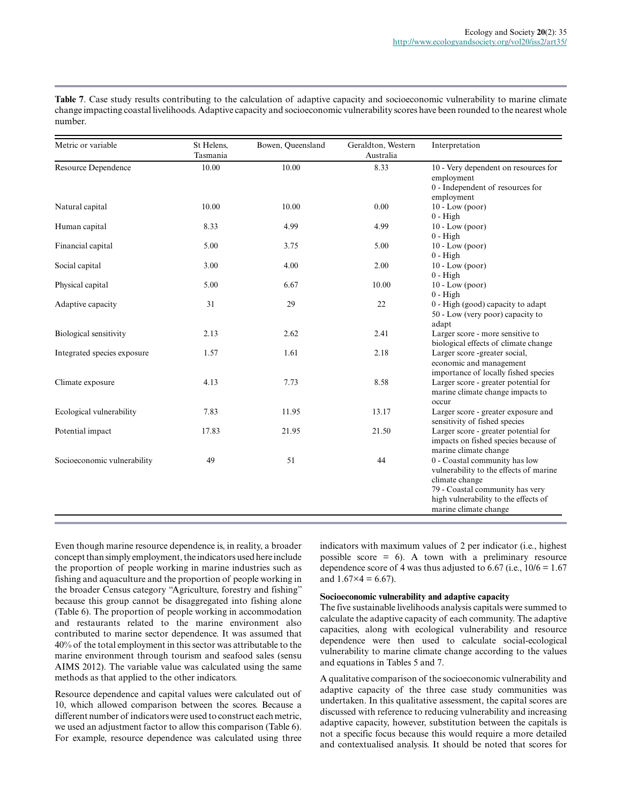**Table 7**. Case study results contributing to the calculation of adaptive capacity and socioeconomic vulnerability to marine climate change impacting coastal livelihoods. Adaptive capacity and socioeconomic vulnerability scores have been rounded to the nearest whole number.

| Metric or variable          | St Helens,<br>Tasmania | Bowen, Queensland | Geraldton, Western<br>Australia | Interpretation                                                                                                                                                                                |
|-----------------------------|------------------------|-------------------|---------------------------------|-----------------------------------------------------------------------------------------------------------------------------------------------------------------------------------------------|
| Resource Dependence         | 10.00                  | 10.00             | 8.33                            | 10 - Very dependent on resources for<br>employment<br>0 - Independent of resources for<br>employment                                                                                          |
| Natural capital             | 10.00                  | 10.00             | 0.00                            | $10 - Low (poor)$<br>$0 - High$                                                                                                                                                               |
| Human capital               | 8.33                   | 4.99              | 4.99                            | $10 - Low (poor)$<br>$0 - High$                                                                                                                                                               |
| Financial capital           | 5.00                   | 3.75              | 5.00                            | $10 - Low (poor)$<br>$0 - High$                                                                                                                                                               |
| Social capital              | 3.00                   | 4.00              | 2.00                            | $10 - Low (poor)$<br>$0 - High$                                                                                                                                                               |
| Physical capital            | 5.00                   | 6.67              | 10.00                           | $10 - Low (poor)$<br>$0 - High$                                                                                                                                                               |
| Adaptive capacity           | 31                     | 29                | 22                              | $0$ - High (good) capacity to adapt<br>50 - Low (very poor) capacity to<br>adapt                                                                                                              |
| Biological sensitivity      | 2.13                   | 2.62              | 2.41                            | Larger score - more sensitive to<br>biological effects of climate change                                                                                                                      |
| Integrated species exposure | 1.57                   | 1.61              | 2.18                            | Larger score -greater social,<br>economic and management<br>importance of locally fished species                                                                                              |
| Climate exposure            | 4.13                   | 7.73              | 8.58                            | Larger score - greater potential for<br>marine climate change impacts to<br>occur                                                                                                             |
| Ecological vulnerability    | 7.83                   | 11.95             | 13.17                           | Larger score - greater exposure and<br>sensitivity of fished species                                                                                                                          |
| Potential impact            | 17.83                  | 21.95             | 21.50                           | Larger score - greater potential for<br>impacts on fished species because of<br>marine climate change                                                                                         |
| Socioeconomic vulnerability | 49                     | 51                | 44                              | 0 - Coastal community has low<br>vulnerability to the effects of marine<br>climate change<br>79 - Coastal community has very<br>high vulnerability to the effects of<br>marine climate change |

Even though marine resource dependence is, in reality, a broader concept than simply employment, the indicators used here include the proportion of people working in marine industries such as fishing and aquaculture and the proportion of people working in the broader Census category "Agriculture, forestry and fishing" because this group cannot be disaggregated into fishing alone (Table 6). The proportion of people working in accommodation and restaurants related to the marine environment also contributed to marine sector dependence. It was assumed that 40% of the total employment in this sector was attributable to the marine environment through tourism and seafood sales (sensu AIMS 2012). The variable value was calculated using the same methods as that applied to the other indicators.

Resource dependence and capital values were calculated out of 10, which allowed comparison between the scores. Because a different number of indicators were used to construct each metric, we used an adjustment factor to allow this comparison (Table 6). For example, resource dependence was calculated using three indicators with maximum values of 2 per indicator (i.e., highest possible score  $= 6$ ). A town with a preliminary resource dependence score of 4 was thus adjusted to 6.67 (i.e.,  $10/6 = 1.67$ ) and  $1.67\times4 = 6.67$ ).

## **Socioeconomic vulnerability and adaptive capacity**

The five sustainable livelihoods analysis capitals were summed to calculate the adaptive capacity of each community. The adaptive capacities, along with ecological vulnerability and resource dependence were then used to calculate social-ecological vulnerability to marine climate change according to the values and equations in Tables 5 and 7.

A qualitative comparison of the socioeconomic vulnerability and adaptive capacity of the three case study communities was undertaken. In this qualitative assessment, the capital scores are discussed with reference to reducing vulnerability and increasing adaptive capacity, however, substitution between the capitals is not a specific focus because this would require a more detailed and contextualised analysis. It should be noted that scores for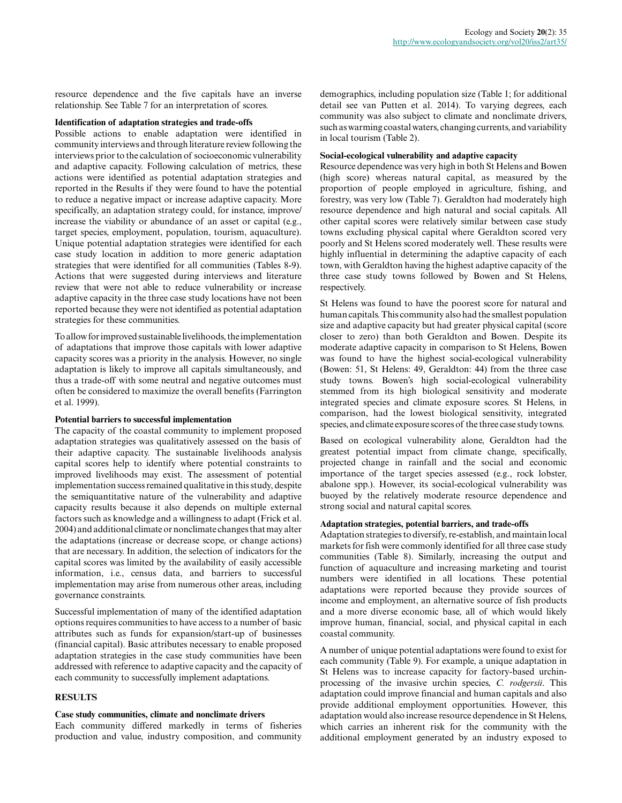resource dependence and the five capitals have an inverse relationship. See Table 7 for an interpretation of scores.

#### **Identification of adaptation strategies and trade-offs**

Possible actions to enable adaptation were identified in community interviews and through literature review following the interviews prior to the calculation of socioeconomic vulnerability and adaptive capacity. Following calculation of metrics, these actions were identified as potential adaptation strategies and reported in the Results if they were found to have the potential to reduce a negative impact or increase adaptive capacity. More specifically, an adaptation strategy could, for instance, improve/ increase the viability or abundance of an asset or capital (e.g., target species, employment, population, tourism, aquaculture). Unique potential adaptation strategies were identified for each case study location in addition to more generic adaptation strategies that were identified for all communities (Tables 8-9). Actions that were suggested during interviews and literature review that were not able to reduce vulnerability or increase adaptive capacity in the three case study locations have not been reported because they were not identified as potential adaptation strategies for these communities.

To allow for improved sustainable livelihoods, the implementation of adaptations that improve those capitals with lower adaptive capacity scores was a priority in the analysis. However, no single adaptation is likely to improve all capitals simultaneously, and thus a trade-off with some neutral and negative outcomes must often be considered to maximize the overall benefits (Farrington et al. 1999).

## **Potential barriers to successful implementation**

The capacity of the coastal community to implement proposed adaptation strategies was qualitatively assessed on the basis of their adaptive capacity. The sustainable livelihoods analysis capital scores help to identify where potential constraints to improved livelihoods may exist. The assessment of potential implementation success remained qualitative in this study, despite the semiquantitative nature of the vulnerability and adaptive capacity results because it also depends on multiple external factors such as knowledge and a willingness to adapt (Frick et al. 2004) and additional climate or nonclimate changes that may alter the adaptations (increase or decrease scope, or change actions) that are necessary. In addition, the selection of indicators for the capital scores was limited by the availability of easily accessible information, i.e., census data, and barriers to successful implementation may arise from numerous other areas, including governance constraints.

Successful implementation of many of the identified adaptation options requires communities to have access to a number of basic attributes such as funds for expansion/start-up of businesses (financial capital). Basic attributes necessary to enable proposed adaptation strategies in the case study communities have been addressed with reference to adaptive capacity and the capacity of each community to successfully implement adaptations.

# **RESULTS**

# **Case study communities, climate and nonclimate drivers**

Each community differed markedly in terms of fisheries production and value, industry composition, and community demographics, including population size (Table 1; for additional detail see van Putten et al. 2014). To varying degrees, each community was also subject to climate and nonclimate drivers, such as warming coastal waters, changing currents, and variability in local tourism (Table 2).

## **Social-ecological vulnerability and adaptive capacity**

Resource dependence was very high in both St Helens and Bowen (high score) whereas natural capital, as measured by the proportion of people employed in agriculture, fishing, and forestry, was very low (Table 7). Geraldton had moderately high resource dependence and high natural and social capitals. All other capital scores were relatively similar between case study towns excluding physical capital where Geraldton scored very poorly and St Helens scored moderately well. These results were highly influential in determining the adaptive capacity of each town, with Geraldton having the highest adaptive capacity of the three case study towns followed by Bowen and St Helens, respectively.

St Helens was found to have the poorest score for natural and human capitals. This community also had the smallest population size and adaptive capacity but had greater physical capital (score closer to zero) than both Geraldton and Bowen. Despite its moderate adaptive capacity in comparison to St Helens, Bowen was found to have the highest social-ecological vulnerability (Bowen: 51, St Helens: 49, Geraldton: 44) from the three case study towns. Bowen's high social-ecological vulnerability stemmed from its high biological sensitivity and moderate integrated species and climate exposure scores. St Helens, in comparison, had the lowest biological sensitivity, integrated species, and climate exposure scores of the three case study towns.

Based on ecological vulnerability alone, Geraldton had the greatest potential impact from climate change, specifically, projected change in rainfall and the social and economic importance of the target species assessed (e.g., rock lobster, abalone spp.). However, its social-ecological vulnerability was buoyed by the relatively moderate resource dependence and strong social and natural capital scores.

## **Adaptation strategies, potential barriers, and trade-offs**

Adaptation strategies to diversify, re-establish, and maintain local markets for fish were commonly identified for all three case study communities (Table 8). Similarly, increasing the output and function of aquaculture and increasing marketing and tourist numbers were identified in all locations. These potential adaptations were reported because they provide sources of income and employment, an alternative source of fish products and a more diverse economic base, all of which would likely improve human, financial, social, and physical capital in each coastal community.

A number of unique potential adaptations were found to exist for each community (Table 9). For example, a unique adaptation in St Helens was to increase capacity for factory-based urchinprocessing of the invasive urchin species, *C. rodgersii*. This adaptation could improve financial and human capitals and also provide additional employment opportunities. However, this adaptation would also increase resource dependence in St Helens, which carries an inherent risk for the community with the additional employment generated by an industry exposed to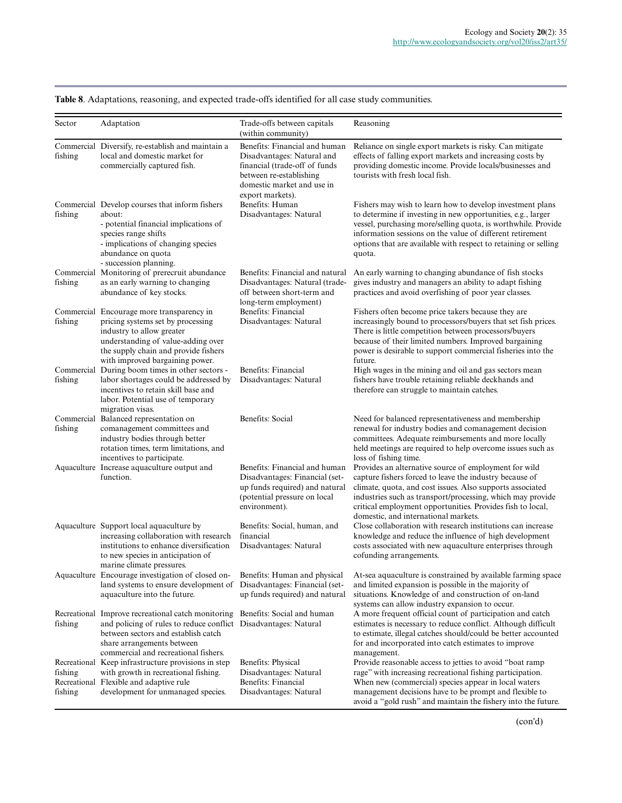| Sector                             | Adaptation                                                                                                                                                                                                                                       | Trade-offs between capitals<br>(within community)                                                                                                                         | Reasoning                                                                                                                                                                                                                                                                                                                                         |
|------------------------------------|--------------------------------------------------------------------------------------------------------------------------------------------------------------------------------------------------------------------------------------------------|---------------------------------------------------------------------------------------------------------------------------------------------------------------------------|---------------------------------------------------------------------------------------------------------------------------------------------------------------------------------------------------------------------------------------------------------------------------------------------------------------------------------------------------|
| fishing                            | Commercial Diversify, re-establish and maintain a<br>local and domestic market for<br>commercially captured fish.                                                                                                                                | Benefits: Financial and human<br>Disadvantages: Natural and<br>financial (trade-off of funds<br>between re-establishing<br>domestic market and use in<br>export markets). | Reliance on single export markets is risky. Can mitigate<br>effects of falling export markets and increasing costs by<br>providing domestic income. Provide locals/businesses and<br>tourists with fresh local fish.                                                                                                                              |
| fishing                            | Commercial Develop courses that inform fishers<br>about:<br>- potential financial implications of<br>species range shifts<br>- implications of changing species<br>abundance on quota                                                            | Benefits: Human<br>Disadvantages: Natural                                                                                                                                 | Fishers may wish to learn how to develop investment plans<br>to determine if investing in new opportunities, e.g., larger<br>vessel, purchasing more/selling quota, is worthwhile. Provide<br>information sessions on the value of different retirement<br>options that are available with respect to retaining or selling<br>quota.              |
| Commercial<br>fishing              | - succession planning.<br>Monitoring of prerecruit abundance<br>as an early warning to changing<br>abundance of key stocks.                                                                                                                      | Benefits: Financial and natural<br>Disadvantages: Natural (trade-<br>off between short-term and<br>long-term employment)                                                  | An early warning to changing abundance of fish stocks<br>gives industry and managers an ability to adapt fishing<br>practices and avoid overfishing of poor year classes.                                                                                                                                                                         |
| Commercial<br>fishing              | Encourage more transparency in<br>pricing systems set by processing<br>industry to allow greater<br>understanding of value-adding over<br>the supply chain and provide fishers<br>with improved bargaining power.                                | Benefits: Financial<br>Disadvantages: Natural                                                                                                                             | Fishers often become price takers because they are<br>increasingly bound to processors/buyers that set fish prices.<br>There is little competition between processors/buyers<br>because of their limited numbers. Improved bargaining<br>power is desirable to support commercial fisheries into the<br>future.                                   |
| Commercial<br>fishing              | During boom times in other sectors -<br>labor shortages could be addressed by<br>incentives to retain skill base and<br>labor. Potential use of temporary<br>migration visas.                                                                    | Benefits: Financial<br>Disadvantages: Natural                                                                                                                             | High wages in the mining and oil and gas sectors mean<br>fishers have trouble retaining reliable deckhands and<br>therefore can struggle to maintain catches.                                                                                                                                                                                     |
| Commercial<br>fishing              | Balanced representation on<br>comanagement committees and<br>industry bodies through better<br>rotation times, term limitations, and<br>incentives to participate.                                                                               | Benefits: Social                                                                                                                                                          | Need for balanced representativeness and membership<br>renewal for industry bodies and comanagement decision<br>committees. Adequate reimbursements and more locally<br>held meetings are required to help overcome issues such as<br>loss of fishing time.                                                                                       |
|                                    | Aquaculture Increase aquaculture output and<br>function.                                                                                                                                                                                         | Benefits: Financial and human<br>Disadvantages: Financial (set-<br>up funds required) and natural<br>(potential pressure on local<br>environment).                        | Provides an alternative source of employment for wild<br>capture fishers forced to leave the industry because of<br>climate, quota, and cost issues. Also supports associated<br>industries such as transport/processing, which may provide<br>critical employment opportunities. Provides fish to local,<br>domestic, and international markets. |
|                                    | Aquaculture Support local aquaculture by<br>increasing collaboration with research<br>institutions to enhance diversification<br>to new species in anticipation of<br>marine climate pressures.                                                  | Benefits: Social, human, and<br>financial<br>Disadvantages: Natural                                                                                                       | Close collaboration with research institutions can increase<br>knowledge and reduce the influence of high development<br>costs associated with new aquaculture enterprises through<br>cofunding arrangements.                                                                                                                                     |
|                                    | Aquaculture Encourage investigation of closed on-<br>land systems to ensure development of Disadvantages: Financial (set-<br>aquaculture into the future.                                                                                        | Benefits: Human and physical<br>up funds required) and natural                                                                                                            | At-sea aquaculture is constrained by available farming space<br>and limited expansion is possible in the majority of<br>situations. Knowledge of and construction of on-land<br>systems can allow industry expansion to occur.                                                                                                                    |
| Recreational<br>fishing            | Improve recreational catch monitoring Benefits: Social and human<br>and policing of rules to reduce conflict Disadvantages: Natural<br>between sectors and establish catch<br>share arrangements between<br>commercial and recreational fishers. |                                                                                                                                                                           | A more frequent official count of participation and catch<br>estimates is necessary to reduce conflict. Although difficult<br>to estimate, illegal catches should/could be better accounted<br>for and incorporated into catch estimates to improve<br>management.                                                                                |
| Recreational<br>fishing<br>fishing | Keep infrastructure provisions in step<br>with growth in recreational fishing.<br>Recreational Flexible and adaptive rule<br>development for unmanaged species.                                                                                  | Benefits: Physical<br>Disadvantages: Natural<br>Benefits: Financial<br>Disadvantages: Natural                                                                             | Provide reasonable access to jetties to avoid "boat ramp<br>rage" with increasing recreational fishing participation.<br>When new (commercial) species appear in local waters<br>management decisions have to be prompt and flexible to<br>avoid a "gold rush" and maintain the fishery into the future.                                          |

**Table 8**. Adaptations, reasoning, and expected trade-offs identified for all case study communities.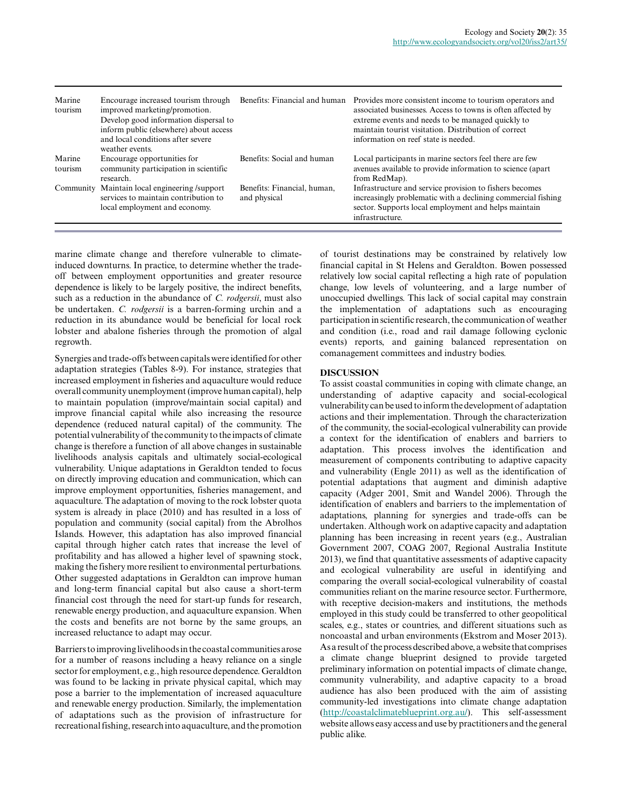| Marine<br>tourism | Encourage increased tourism through<br>improved marketing/promotion.<br>Develop good information dispersal to<br>inform public (elsewhere) about access<br>and local conditions after severe<br>weather events. | Benefits: Financial and human               | Provides more consistent income to tourism operators and<br>associated businesses. Access to towns is often affected by<br>extreme events and needs to be managed quickly to<br>maintain tourist visitation. Distribution of correct<br>information on reef state is needed. |
|-------------------|-----------------------------------------------------------------------------------------------------------------------------------------------------------------------------------------------------------------|---------------------------------------------|------------------------------------------------------------------------------------------------------------------------------------------------------------------------------------------------------------------------------------------------------------------------------|
| Marine<br>tourism | Encourage opportunities for<br>community participation in scientific<br>research.                                                                                                                               | Benefits: Social and human                  | Local participants in marine sectors feel there are few<br>avenues available to provide information to science (apart<br>from RedMap).                                                                                                                                       |
|                   | Community Maintain local engineering /support<br>services to maintain contribution to<br>local employment and economy.                                                                                          | Benefits: Financial, human,<br>and physical | Infrastructure and service provision to fishers becomes<br>increasingly problematic with a declining commercial fishing<br>sector. Supports local employment and helps maintain<br>infrastructure.                                                                           |

marine climate change and therefore vulnerable to climateinduced downturns. In practice, to determine whether the tradeoff between employment opportunities and greater resource dependence is likely to be largely positive, the indirect benefits, such as a reduction in the abundance of *C. rodgersii*, must also be undertaken. *C. rodgersii* is a barren-forming urchin and a reduction in its abundance would be beneficial for local rock lobster and abalone fisheries through the promotion of algal regrowth.

Synergies and trade-offs between capitals were identified for other adaptation strategies (Tables 8-9). For instance, strategies that increased employment in fisheries and aquaculture would reduce overall community unemployment (improve human capital), help to maintain population (improve/maintain social capital) and improve financial capital while also increasing the resource dependence (reduced natural capital) of the community. The potential vulnerability of the community to the impacts of climate change is therefore a function of all above changes in sustainable livelihoods analysis capitals and ultimately social-ecological vulnerability. Unique adaptations in Geraldton tended to focus on directly improving education and communication, which can improve employment opportunities, fisheries management, and aquaculture. The adaptation of moving to the rock lobster quota system is already in place (2010) and has resulted in a loss of population and community (social capital) from the Abrolhos Islands. However, this adaptation has also improved financial capital through higher catch rates that increase the level of profitability and has allowed a higher level of spawning stock, making the fishery more resilient to environmental perturbations. Other suggested adaptations in Geraldton can improve human and long-term financial capital but also cause a short-term financial cost through the need for start-up funds for research, renewable energy production, and aquaculture expansion. When the costs and benefits are not borne by the same groups, an increased reluctance to adapt may occur.

Barriers to improving livelihoods in the coastal communities arose for a number of reasons including a heavy reliance on a single sector for employment, e.g., high resource dependence. Geraldton was found to be lacking in private physical capital, which may pose a barrier to the implementation of increased aquaculture and renewable energy production. Similarly, the implementation of adaptations such as the provision of infrastructure for recreational fishing, research into aquaculture, and the promotion

of tourist destinations may be constrained by relatively low financial capital in St Helens and Geraldton. Bowen possessed relatively low social capital reflecting a high rate of population change, low levels of volunteering, and a large number of unoccupied dwellings. This lack of social capital may constrain the implementation of adaptations such as encouraging participation in scientific research, the communication of weather and condition (i.e., road and rail damage following cyclonic events) reports, and gaining balanced representation on comanagement committees and industry bodies.

# **DISCUSSION**

To assist coastal communities in coping with climate change, an understanding of adaptive capacity and social-ecological vulnerability can be used to inform the development of adaptation actions and their implementation. Through the characterization of the community, the social-ecological vulnerability can provide a context for the identification of enablers and barriers to adaptation. This process involves the identification and measurement of components contributing to adaptive capacity and vulnerability (Engle 2011) as well as the identification of potential adaptations that augment and diminish adaptive capacity (Adger 2001, Smit and Wandel 2006). Through the identification of enablers and barriers to the implementation of adaptations, planning for synergies and trade-offs can be undertaken. Although work on adaptive capacity and adaptation planning has been increasing in recent years (e.g., Australian Government 2007, COAG 2007, Regional Australia Institute 2013), we find that quantitative assessments of adaptive capacity and ecological vulnerability are useful in identifying and comparing the overall social-ecological vulnerability of coastal communities reliant on the marine resource sector. Furthermore, with receptive decision-makers and institutions, the methods employed in this study could be transferred to other geopolitical scales, e.g., states or countries, and different situations such as noncoastal and urban environments (Ekstrom and Moser 2013). As a result of the process described above, a website that comprises a climate change blueprint designed to provide targeted preliminary information on potential impacts of climate change, community vulnerability, and adaptive capacity to a broad audience has also been produced with the aim of assisting community-led investigations into climate change adaptation (<http://coastalclimateblueprint.org.au/>). This self-assessment website allows easy access and use by practitioners and the general public alike.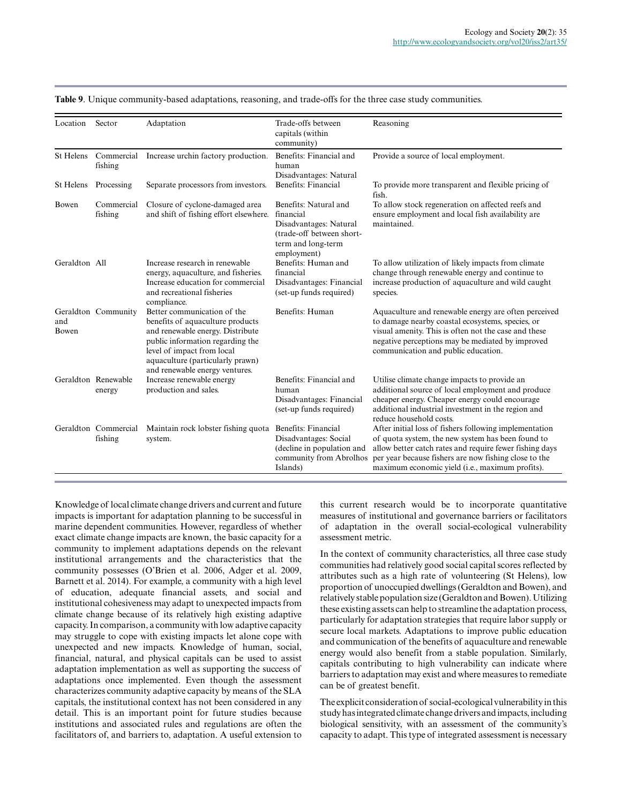| Location            | Sector                          | Adaptation                                                                                                                                                                                                                                  | Trade-offs between<br>capitals (within<br>community)                                                                           | Reasoning                                                                                                                                                                                                                                                                          |
|---------------------|---------------------------------|---------------------------------------------------------------------------------------------------------------------------------------------------------------------------------------------------------------------------------------------|--------------------------------------------------------------------------------------------------------------------------------|------------------------------------------------------------------------------------------------------------------------------------------------------------------------------------------------------------------------------------------------------------------------------------|
| St Helens           | Commercial<br>fishing           | Increase urchin factory production.                                                                                                                                                                                                         | Benefits: Financial and<br>human<br>Disadvantages: Natural                                                                     | Provide a source of local employment.                                                                                                                                                                                                                                              |
|                     | St Helens Processing            | Separate processors from investors.                                                                                                                                                                                                         | Benefits: Financial                                                                                                            | To provide more transparent and flexible pricing of<br>fish.                                                                                                                                                                                                                       |
| Bowen               | Commercial<br>fishing           | Closure of cyclone-damaged area<br>and shift of fishing effort elsewhere.                                                                                                                                                                   | Benefits: Natural and<br>financial<br>Disadvantages: Natural<br>(trade-off between short-<br>term and long-term<br>employment) | To allow stock regeneration on affected reefs and<br>ensure employment and local fish availability are<br>maintained.                                                                                                                                                              |
| Geraldton All       |                                 | Increase research in renewable<br>energy, aquaculture, and fisheries.<br>Increase education for commercial<br>and recreational fisheries<br>compliance.                                                                                     | Benefits: Human and<br>financial<br>Disadvantages: Financial<br>(set-up funds required)                                        | To allow utilization of likely impacts from climate<br>change through renewable energy and continue to<br>increase production of aquaculture and wild caught<br>species.                                                                                                           |
| and<br><b>Bowen</b> | Geraldton Community             | Better communication of the<br>benefits of aquaculture products<br>and renewable energy. Distribute<br>public information regarding the<br>level of impact from local<br>aquaculture (particularly prawn)<br>and renewable energy ventures. | Benefits: Human                                                                                                                | Aquaculture and renewable energy are often perceived<br>to damage nearby coastal ecosystems, species, or<br>visual amenity. This is often not the case and these<br>negative perceptions may be mediated by improved<br>communication and public education.                        |
|                     | Geraldton Renewable<br>energy   | Increase renewable energy<br>production and sales.                                                                                                                                                                                          | Benefits: Financial and<br>human<br>Disadvantages: Financial<br>(set-up funds required)                                        | Utilise climate change impacts to provide an<br>additional source of local employment and produce<br>cheaper energy. Cheaper energy could encourage<br>additional industrial investment in the region and<br>reduce household costs.                                               |
|                     | Geraldton Commercial<br>fishing | Maintain rock lobster fishing quota<br>system.                                                                                                                                                                                              | Benefits: Financial<br>Disadvantages: Social<br>(decline in population and<br>community from Abrolhos<br>Islands)              | After initial loss of fishers following implementation<br>of quota system, the new system has been found to<br>allow better catch rates and require fewer fishing days<br>per year because fishers are now fishing close to the<br>maximum economic yield (i.e., maximum profits). |

**Table 9**. Unique community-based adaptations, reasoning, and trade-offs for the three case study communities.

Knowledge of local climate change drivers and current and future impacts is important for adaptation planning to be successful in marine dependent communities. However, regardless of whether exact climate change impacts are known, the basic capacity for a community to implement adaptations depends on the relevant institutional arrangements and the characteristics that the community possesses (O'Brien et al. 2006, Adger et al. 2009, Barnett et al. 2014). For example, a community with a high level of education, adequate financial assets, and social and institutional cohesiveness may adapt to unexpected impacts from climate change because of its relatively high existing adaptive capacity. In comparison, a community with low adaptive capacity may struggle to cope with existing impacts let alone cope with unexpected and new impacts. Knowledge of human, social, financial, natural, and physical capitals can be used to assist adaptation implementation as well as supporting the success of adaptations once implemented. Even though the assessment characterizes community adaptive capacity by means of the SLA capitals, the institutional context has not been considered in any detail. This is an important point for future studies because institutions and associated rules and regulations are often the facilitators of, and barriers to, adaptation. A useful extension to

this current research would be to incorporate quantitative measures of institutional and governance barriers or facilitators of adaptation in the overall social-ecological vulnerability assessment metric.

In the context of community characteristics, all three case study communities had relatively good social capital scores reflected by attributes such as a high rate of volunteering (St Helens), low proportion of unoccupied dwellings (Geraldton and Bowen), and relatively stable population size (Geraldton and Bowen). Utilizing these existing assets can help to streamline the adaptation process, particularly for adaptation strategies that require labor supply or secure local markets. Adaptations to improve public education and communication of the benefits of aquaculture and renewable energy would also benefit from a stable population. Similarly, capitals contributing to high vulnerability can indicate where barriers to adaptation may exist and where measures to remediate can be of greatest benefit.

The explicit consideration of social-ecological vulnerability in this study has integrated climate change drivers and impacts, including biological sensitivity, with an assessment of the community's capacity to adapt. This type of integrated assessment is necessary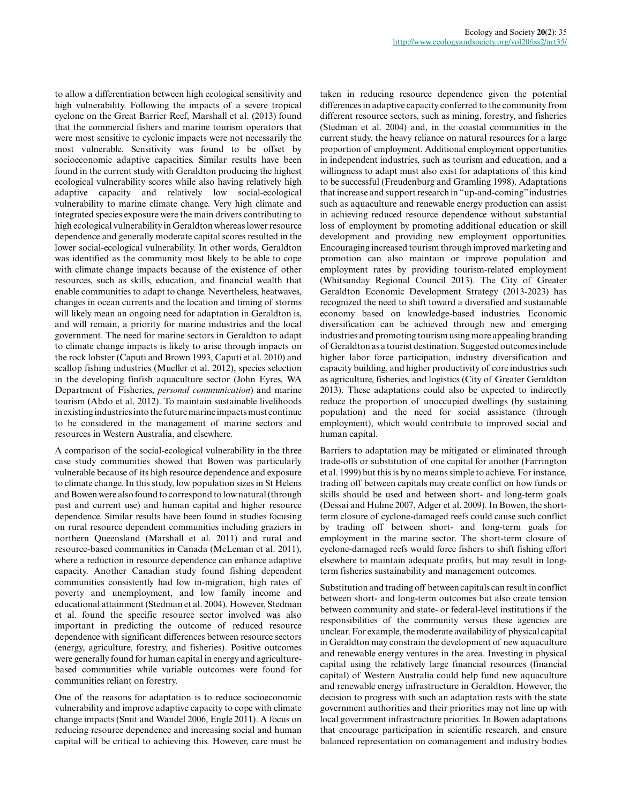to allow a differentiation between high ecological sensitivity and high vulnerability. Following the impacts of a severe tropical cyclone on the Great Barrier Reef, Marshall et al. (2013) found that the commercial fishers and marine tourism operators that were most sensitive to cyclonic impacts were not necessarily the most vulnerable. Sensitivity was found to be offset by socioeconomic adaptive capacities. Similar results have been found in the current study with Geraldton producing the highest ecological vulnerability scores while also having relatively high adaptive capacity and relatively low social-ecological vulnerability to marine climate change. Very high climate and integrated species exposure were the main drivers contributing to high ecological vulnerability in Geraldton whereas lower resource dependence and generally moderate capital scores resulted in the lower social-ecological vulnerability. In other words, Geraldton was identified as the community most likely to be able to cope with climate change impacts because of the existence of other resources, such as skills, education, and financial wealth that enable communities to adapt to change. Nevertheless, heatwaves, changes in ocean currents and the location and timing of storms will likely mean an ongoing need for adaptation in Geraldton is, and will remain, a priority for marine industries and the local government. The need for marine sectors in Geraldton to adapt to climate change impacts is likely to arise through impacts on the rock lobster (Caputi and Brown 1993, Caputi et al. 2010) and scallop fishing industries (Mueller et al. 2012), species selection in the developing finfish aquaculture sector (John Eyres, WA Department of Fisheries, *personal communication*) and marine tourism (Abdo et al. 2012). To maintain sustainable livelihoods in existing industries into the future marine impacts must continue to be considered in the management of marine sectors and resources in Western Australia, and elsewhere.

A comparison of the social-ecological vulnerability in the three case study communities showed that Bowen was particularly vulnerable because of its high resource dependence and exposure to climate change. In this study, low population sizes in St Helens and Bowen were also found to correspond to low natural (through past and current use) and human capital and higher resource dependence. Similar results have been found in studies focusing on rural resource dependent communities including graziers in northern Queensland (Marshall et al. 2011) and rural and resource-based communities in Canada (McLeman et al. 2011), where a reduction in resource dependence can enhance adaptive capacity. Another Canadian study found fishing dependent communities consistently had low in-migration, high rates of poverty and unemployment, and low family income and educational attainment (Stedman et al. 2004). However, Stedman et al. found the specific resource sector involved was also important in predicting the outcome of reduced resource dependence with significant differences between resource sectors (energy, agriculture, forestry, and fisheries). Positive outcomes were generally found for human capital in energy and agriculturebased communities while variable outcomes were found for communities reliant on forestry.

One of the reasons for adaptation is to reduce socioeconomic vulnerability and improve adaptive capacity to cope with climate change impacts (Smit and Wandel 2006, Engle 2011). A focus on reducing resource dependence and increasing social and human capital will be critical to achieving this. However, care must be taken in reducing resource dependence given the potential differences in adaptive capacity conferred to the community from different resource sectors, such as mining, forestry, and fisheries (Stedman et al. 2004) and, in the coastal communities in the current study, the heavy reliance on natural resources for a large proportion of employment. Additional employment opportunities in independent industries, such as tourism and education, and a willingness to adapt must also exist for adaptations of this kind to be successful (Freudenburg and Gramling 1998). Adaptations that increase and support research in "up-and-coming" industries such as aquaculture and renewable energy production can assist in achieving reduced resource dependence without substantial loss of employment by promoting additional education or skill development and providing new employment opportunities. Encouraging increased tourism through improved marketing and promotion can also maintain or improve population and employment rates by providing tourism-related employment (Whitsunday Regional Council 2013). The City of Greater Geraldton Economic Development Strategy (2013-2023) has recognized the need to shift toward a diversified and sustainable economy based on knowledge-based industries. Economic diversification can be achieved through new and emerging industries and promoting tourism using more appealing branding of Geraldton as a tourist destination. Suggested outcomes include higher labor force participation, industry diversification and capacity building, and higher productivity of core industries such as agriculture, fisheries, and logistics (City of Greater Geraldton 2013). These adaptations could also be expected to indirectly reduce the proportion of unoccupied dwellings (by sustaining population) and the need for social assistance (through employment), which would contribute to improved social and human capital.

Barriers to adaptation may be mitigated or eliminated through trade-offs or substitution of one capital for another (Farrington et al. 1999) but this is by no means simple to achieve. For instance, trading off between capitals may create conflict on how funds or skills should be used and between short- and long-term goals (Dessai and Hulme 2007, Adger et al. 2009). In Bowen, the shortterm closure of cyclone-damaged reefs could cause such conflict by trading off between short- and long-term goals for employment in the marine sector. The short-term closure of cyclone-damaged reefs would force fishers to shift fishing effort elsewhere to maintain adequate profits, but may result in longterm fisheries sustainability and management outcomes.

Substitution and trading off between capitals can result in conflict between short- and long-term outcomes but also create tension between community and state- or federal-level institutions if the responsibilities of the community versus these agencies are unclear. For example, the moderate availability of physical capital in Geraldton may constrain the development of new aquaculture and renewable energy ventures in the area. Investing in physical capital using the relatively large financial resources (financial capital) of Western Australia could help fund new aquaculture and renewable energy infrastructure in Geraldton. However, the decision to progress with such an adaptation rests with the state government authorities and their priorities may not line up with local government infrastructure priorities. In Bowen adaptations that encourage participation in scientific research, and ensure balanced representation on comanagement and industry bodies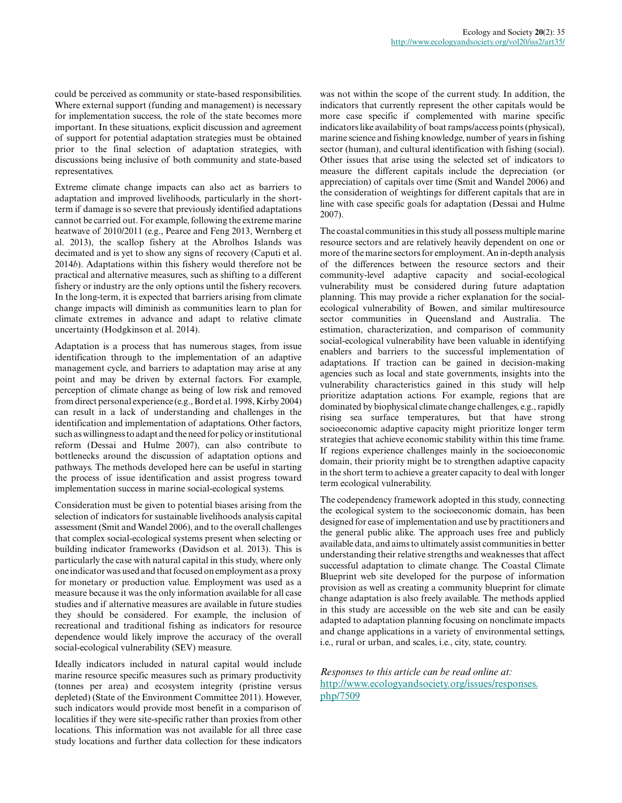could be perceived as community or state-based responsibilities. Where external support (funding and management) is necessary for implementation success, the role of the state becomes more important. In these situations, explicit discussion and agreement of support for potential adaptation strategies must be obtained prior to the final selection of adaptation strategies, with discussions being inclusive of both community and state-based representatives.

Extreme climate change impacts can also act as barriers to adaptation and improved livelihoods, particularly in the shortterm if damage is so severe that previously identified adaptations cannot be carried out. For example, following the extreme marine heatwave of 2010/2011 (e.g., Pearce and Feng 2013, Wernberg et al. 2013), the scallop fishery at the Abrolhos Islands was decimated and is yet to show any signs of recovery (Caputi et al. 2014*b*). Adaptations within this fishery would therefore not be practical and alternative measures, such as shifting to a different fishery or industry are the only options until the fishery recovers. In the long-term, it is expected that barriers arising from climate change impacts will diminish as communities learn to plan for climate extremes in advance and adapt to relative climate uncertainty (Hodgkinson et al. 2014).

Adaptation is a process that has numerous stages, from issue identification through to the implementation of an adaptive management cycle, and barriers to adaptation may arise at any point and may be driven by external factors. For example, perception of climate change as being of low risk and removed from direct personal experience (e.g., Bord et al. 1998, Kirby 2004) can result in a lack of understanding and challenges in the identification and implementation of adaptations. Other factors, such as willingness to adapt and the need for policy or institutional reform (Dessai and Hulme 2007), can also contribute to bottlenecks around the discussion of adaptation options and pathways. The methods developed here can be useful in starting the process of issue identification and assist progress toward implementation success in marine social-ecological systems.

Consideration must be given to potential biases arising from the selection of indicators for sustainable livelihoods analysis capital assessment (Smit and Wandel 2006), and to the overall challenges that complex social-ecological systems present when selecting or building indicator frameworks (Davidson et al. 2013). This is particularly the case with natural capital in this study, where only one indicator was used and that focused on employment as a proxy for monetary or production value. Employment was used as a measure because it was the only information available for all case studies and if alternative measures are available in future studies they should be considered. For example, the inclusion of recreational and traditional fishing as indicators for resource dependence would likely improve the accuracy of the overall social-ecological vulnerability (SEV) measure.

Ideally indicators included in natural capital would include marine resource specific measures such as primary productivity (tonnes per area) and ecosystem integrity (pristine versus depleted) (State of the Environment Committee 2011). However, such indicators would provide most benefit in a comparison of localities if they were site-specific rather than proxies from other locations. This information was not available for all three case study locations and further data collection for these indicators

was not within the scope of the current study. In addition, the indicators that currently represent the other capitals would be more case specific if complemented with marine specific indicators like availability of boat ramps/access points (physical), marine science and fishing knowledge, number of years in fishing sector (human), and cultural identification with fishing (social). Other issues that arise using the selected set of indicators to measure the different capitals include the depreciation (or appreciation) of capitals over time (Smit and Wandel 2006) and the consideration of weightings for different capitals that are in line with case specific goals for adaptation (Dessai and Hulme 2007).

The coastal communities in this study all possess multiple marine resource sectors and are relatively heavily dependent on one or more of the marine sectors for employment. An in-depth analysis of the differences between the resource sectors and their community-level adaptive capacity and social-ecological vulnerability must be considered during future adaptation planning. This may provide a richer explanation for the socialecological vulnerability of Bowen, and similar multiresource sector communities in Queensland and Australia. The estimation, characterization, and comparison of community social-ecological vulnerability have been valuable in identifying enablers and barriers to the successful implementation of adaptations. If traction can be gained in decision-making agencies such as local and state governments, insights into the vulnerability characteristics gained in this study will help prioritize adaptation actions. For example, regions that are dominated by biophysical climate change challenges, e.g., rapidly rising sea surface temperatures, but that have strong socioeconomic adaptive capacity might prioritize longer term strategies that achieve economic stability within this time frame. If regions experience challenges mainly in the socioeconomic domain, their priority might be to strengthen adaptive capacity in the short term to achieve a greater capacity to deal with longer term ecological vulnerability.

The codependency framework adopted in this study, connecting the ecological system to the socioeconomic domain, has been designed for ease of implementation and use by practitioners and the general public alike. The approach uses free and publicly available data, and aims to ultimately assist communities in better understanding their relative strengths and weaknesses that affect successful adaptation to climate change. The Coastal Climate Blueprint web site developed for the purpose of information provision as well as creating a community blueprint for climate change adaptation is also freely available. The methods applied in this study are accessible on the web site and can be easily adapted to adaptation planning focusing on nonclimate impacts and change applications in a variety of environmental settings, i.e., rural or urban, and scales, i.e., city, state, country.

# *Responses to this article can be read online at:* [http://www.ecologyandsociety.org/issues/responses.](http://www.ecologyandsociety.org/issues/responses.php/7509) [php/7509](http://www.ecologyandsociety.org/issues/responses.php/7509)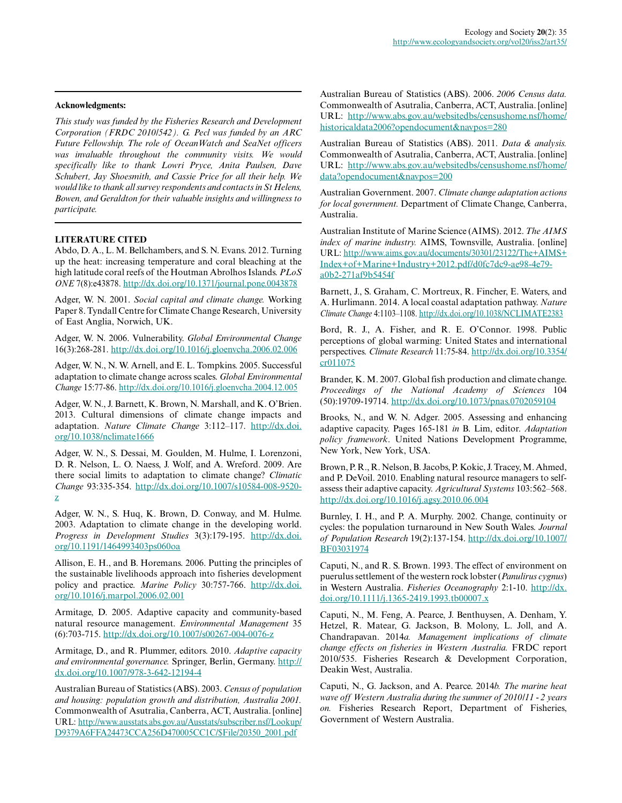## **Acknowledgments:**

*This study was funded by the Fisheries Research and Development Corporation (FRDC 2010/542). G. Pecl was funded by an ARC Future Fellowship. The role of OceanWatch and SeaNet officers was invaluable throughout the community visits. We would specifically like to thank Lowri Pryce, Anita Paulsen, Dave Schubert, Jay Shoesmith, and Cassie Price for all their help. We would like to thank all survey respondents and contacts in St Helens, Bowen, and Geraldton for their valuable insights and willingness to participate.*

### **LITERATURE CITED**

Abdo, D. A., L. M. Bellchambers, and S. N. Evans. 2012. Turning up the heat: increasing temperature and coral bleaching at the high latitude coral reefs of the Houtman Abrolhos Islands. *PLoS ONE* 7(8):e43878. [http://dx.doi.org/10.1371/journal.pone.0043878](http://dx.doi.org/10.1371%2Fjournal.pone.0043878) 

Adger, W. N. 2001. *Social capital and climate change.* Working Paper 8. Tyndall Centre for Climate Change Research, University of East Anglia, Norwich, UK.

Adger, W. N. 2006. Vulnerability. *Global Environmental Change* 16(3):268-281. [http://dx.doi.org/10.1016/j.gloenvcha.2006.02.006](http://dx.doi.org/10.1016%2Fj.gloenvcha.2006.02.006) 

Adger, W. N., N. W. Arnell, and E. L. Tompkins. 2005. Successful adaptation to climate change across scales. *Global Environmental Change* 15:77-86. [http://dx.doi.org/10.1016/j.gloenvcha.2004.12.005](http://dx.doi.org/10.1016%2Fj.gloenvcha.2004.12.005) 

Adger, W. N., J. Barnett, K. Brown, N. Marshall, and K. O'Brien. 2013. Cultural dimensions of climate change impacts and adaptation. *Nature Climate Change* 3:112–117. [http://dx.doi.](http://dx.doi.org/10.1038%2Fnclimate1666) [org/10.1038/nclimate1666](http://dx.doi.org/10.1038%2Fnclimate1666) 

Adger, W. N., S. Dessai, M. Goulden, M. Hulme, I. Lorenzoni, D. R. Nelson, L. O. Naess, J. Wolf, and A. Wreford. 2009. Are there social limits to adaptation to climate change? *Climatic Change* 93:335-354. [http://dx.doi.org/10.1007/s10584-008-9520](http://dx.doi.org/10.1007%2Fs10584-008-9520-z) [z](http://dx.doi.org/10.1007%2Fs10584-008-9520-z) 

Adger, W. N., S. Huq, K. Brown, D. Conway, and M. Hulme. 2003. Adaptation to climate change in the developing world. *Progress in Development Studies* 3(3):179-195. [http://dx.doi.](http://dx.doi.org/10.1191%2F1464993403ps060oa) [org/10.1191/1464993403ps060oa](http://dx.doi.org/10.1191%2F1464993403ps060oa) 

Allison, E. H., and B. Horemans. 2006. Putting the principles of the sustainable livelihoods approach into fisheries development policy and practice. *Marine Policy* 30:757-766. [http://dx.doi.](http://dx.doi.org/10.1016%2Fj.marpol.2006.02.001) [org/10.1016/j.marpol.2006.02.001](http://dx.doi.org/10.1016%2Fj.marpol.2006.02.001) 

Armitage, D. 2005. Adaptive capacity and community-based natural resource management. *Environmental Management* 35 (6):703-715. [http://dx.doi.org/10.1007/s00267-004-0076-z](http://dx.doi.org/10.1007%2Fs00267-004-0076-z)

Armitage, D., and R. Plummer, editors. 2010. *Adaptive capacity and environmental governance.* Springer, Berlin, Germany. [http://](http://dx.doi.org/10.1007%2F978-3-642-12194-4) [dx.doi.org/10.1007/978-3-642-12194-4](http://dx.doi.org/10.1007%2F978-3-642-12194-4)

Australian Bureau of Statistics (ABS). 2003. *Census of population and housing: population growth and distribution, Australia 2001.* Commonwealth of Asutralia, Canberra, ACT, Australia. [online] URL: [http://www.ausstats.abs.gov.au/Ausstats/subscriber.nsf/Lookup/](http://www.ausstats.abs.gov.au/Ausstats/subscriber.nsf/Lookup/D9379A6FFA24473CCA256D470005CC1C/$File/20350_2001.pdf) [D9379A6FFA24473CCA256D470005CC1C/\\$File/20350\\_2001.pdf](http://www.ausstats.abs.gov.au/Ausstats/subscriber.nsf/Lookup/D9379A6FFA24473CCA256D470005CC1C/$File/20350_2001.pdf)

Australian Bureau of Statistics (ABS). 2006. *2006 Census data.* Commonwealth of Asutralia, Canberra, ACT, Australia. [online] URL: [http://www.abs.gov.au/websitedbs/censushome.nsf/home/](http://www.abs.gov.au/websitedbs/censushome.nsf/home/historicaldata2006?opendocument&navpos=280) [historicaldata2006?opendocument&navpos=280](http://www.abs.gov.au/websitedbs/censushome.nsf/home/historicaldata2006?opendocument&navpos=280) 

Australian Bureau of Statistics (ABS). 2011. *Data & analysis.* Commonwealth of Asutralia, Canberra, ACT, Australia. [online] URL: [http://www.abs.gov.au/websitedbs/censushome.nsf/home/](http://www.abs.gov.au/websitedbs/censushome.nsf/home/data?opendocument&navpos=200) [data?opendocument&navpos=200](http://www.abs.gov.au/websitedbs/censushome.nsf/home/data?opendocument&navpos=200)

Australian Government. 2007. *Climate change adaptation actions for local government.* Department of Climate Change, Canberra, Australia.

Australian Institute of Marine Science (AIMS). 2012. *The AIMS index of marine industry.* AIMS, Townsville, Australia. [online] URL: [http://www.aims.gov.au/documents/30301/23122/The+AIMS+](http://www.aims.gov.au/documents/30301/23122/The+AIMS+Index+of+Marine+Industry+2012.pdf/d0fc7dc9-ae98-4e79-a0b2-271af9b5454f) [Index+of+Marine+Industry+2012.pdf/d0fc7dc9-ae98-4e79](http://www.aims.gov.au/documents/30301/23122/The+AIMS+Index+of+Marine+Industry+2012.pdf/d0fc7dc9-ae98-4e79-a0b2-271af9b5454f) [a0b2-271af9b5454f](http://www.aims.gov.au/documents/30301/23122/The+AIMS+Index+of+Marine+Industry+2012.pdf/d0fc7dc9-ae98-4e79-a0b2-271af9b5454f)

Barnett, J., S. Graham, C. Mortreux, R. Fincher, E. Waters, and A. Hurlimann. 2014. A local coastal adaptation pathway. *Nature Climate Change* 4:1103–1108. [http://dx.doi.org/10.1038/NCLIMATE2383](http://dx.doi.org/10.1038%2FNCLIMATE2383)

Bord, R. J., A. Fisher, and R. E. O'Connor. 1998. Public perceptions of global warming: United States and international perspectives. *Climate Research* 11:75-84. [http://dx.doi.org/10.3354/](http://dx.doi.org/10.3354%2Fcr011075) [cr011075](http://dx.doi.org/10.3354%2Fcr011075)

Brander, K. M. 2007. Global fish production and climate change. *Proceedings of the National Academy of Sciences* 104 (50):19709-19714. [http://dx.doi.org/10.1073/pnas.0702059104](http://dx.doi.org/10.1073%2Fpnas.0702059104)

Brooks, N., and W. N. Adger. 2005. Assessing and enhancing adaptive capacity. Pages 165-181 *in* B. Lim, editor. *Adaptation policy framework*. United Nations Development Programme, New York, New York, USA.

Brown, P. R., R. Nelson, B. Jacobs, P. Kokic, J. Tracey, M. Ahmed, and P. DeVoil. 2010. Enabling natural resource managers to selfassess their adaptive capacity. *Agricultural Systems* 103:562–568. <http://dx.doi.org/10.1016/j.agsy.2010.06.004>

Burnley, I. H., and P. A. Murphy. 2002. Change, continuity or cycles: the population turnaround in New South Wales. *Journal of Population Research* 19(2):137-154. [http://dx.doi.org/10.1007/](http://dx.doi.org/10.1007%2FBF03031974) [BF03031974](http://dx.doi.org/10.1007%2FBF03031974)

Caputi, N., and R. S. Brown. 1993. The effect of environment on puerulus settlement of the western rock lobster (*Panulirus cygnus*) in Western Australia. *Fisheries Oceanography* 2:1-10. [http://dx.](http://dx.doi.org/10.1111%2Fj.1365-2419.1993.tb00007.x) [doi.org/10.1111/j.1365-2419.1993.tb00007.x](http://dx.doi.org/10.1111%2Fj.1365-2419.1993.tb00007.x)

Caputi, N., M. Feng, A. Pearce, J. Benthuysen, A. Denham, Y. Hetzel, R. Matear, G. Jackson, B. Molony, L. Joll, and A. Chandrapavan. 2014*a. Management implications of climate change effects on fisheries in Western Australia.* FRDC report 2010/535. Fisheries Research & Development Corporation, Deakin West, Australia.

Caputi, N., G. Jackson, and A. Pearce. 2014*b. The marine heat wave off Western Australia during the summer of 2010/11 - 2 years on.* Fisheries Research Report, Department of Fisheries, Government of Western Australia.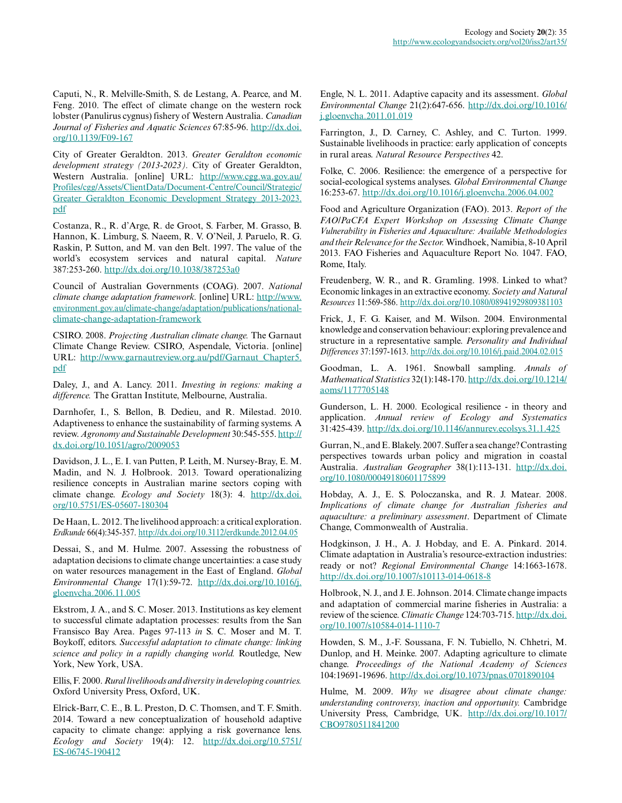Caputi, N., R. Melville-Smith, S. de Lestang, A. Pearce, and M. Feng. 2010. The effect of climate change on the western rock lobster (Panulirus cygnus) fishery of Western Australia. *Canadian Journal of Fisheries and Aquatic Sciences* 67:85-96. [http://dx.doi.](http://dx.doi.org/10.1139%2FF09-167) [org/10.1139/F09-167](http://dx.doi.org/10.1139%2FF09-167) 

City of Greater Geraldton. 2013. *Greater Geraldton economic development strategy (2013-2023).* City of Greater Geraldton, Western Australia. [online] URL: [http://www.cgg.wa.gov.au/](http://www.cgg.wa.gov.au/Profiles/cgg/Assets/ClientData/Document-Centre/Council/Strategic/Greater_Geraldton_Economic_Development_Strategy_2013-2023.pdf) [Profiles/cgg/Assets/ClientData/Document-Centre/Council/Strategic/](http://www.cgg.wa.gov.au/Profiles/cgg/Assets/ClientData/Document-Centre/Council/Strategic/Greater_Geraldton_Economic_Development_Strategy_2013-2023.pdf) [Greater\\_Geraldton\\_Economic\\_Development\\_Strategy\\_2013-2023.](http://www.cgg.wa.gov.au/Profiles/cgg/Assets/ClientData/Document-Centre/Council/Strategic/Greater_Geraldton_Economic_Development_Strategy_2013-2023.pdf) [pdf](http://www.cgg.wa.gov.au/Profiles/cgg/Assets/ClientData/Document-Centre/Council/Strategic/Greater_Geraldton_Economic_Development_Strategy_2013-2023.pdf)

Costanza, R., R. d'Arge, R. de Groot, S. Farber, M. Grasso, B. Hannon, K. Limburg, S. Naeem, R. V. O'Neil, J. Paruelo, R. G. Raskin, P. Sutton, and M. van den Belt. 1997. The value of the world's ecosystem services and natural capital. *Nature* 387:253-260. [http://dx.doi.org/10.1038/387253a0](http://dx.doi.org/10.1038%2F387253a0) 

Council of Australian Governments (COAG). 2007. *National climate change adaptation framework.* [online] URL: [http://www.](http://www.environment.gov.au/climate-change/adaptation/publications/national-climate-change-adaptation-framework) [environment.gov.au/climate-change/adaptation/publications/national](http://www.environment.gov.au/climate-change/adaptation/publications/national-climate-change-adaptation-framework)[climate-change-adaptation-framework](http://www.environment.gov.au/climate-change/adaptation/publications/national-climate-change-adaptation-framework)

CSIRO. 2008. *Projecting Australian climate change.* The Garnaut Climate Change Review. CSIRO, Aspendale, Victoria. [online] URL: [http://www.garnautreview.org.au/pdf/Garnaut\\_Chapter5.](http://www.garnautreview.org.au/pdf/Garnaut_Chapter5.pdf) [pdf](http://www.garnautreview.org.au/pdf/Garnaut_Chapter5.pdf)

Daley, J., and A. Lancy. 2011. *Investing in regions: making a difference.* The Grattan Institute, Melbourne, Australia.

Darnhofer, I., S. Bellon, B. Dedieu, and R. Milestad. 2010. Adaptiveness to enhance the sustainability of farming systems. A review. *Agronomy and Sustainable Development* 30:545-555. [http://](http://dx.doi.org/10.1051%2Fagro%2F2009053) [dx.doi.org/10.1051/agro/2009053](http://dx.doi.org/10.1051%2Fagro%2F2009053) 

Davidson, J. L., E. I. van Putten, P. Leith, M. Nursey-Bray, E. M. Madin, and N. J. Holbrook. 2013. Toward operationalizing resilience concepts in Australian marine sectors coping with climate change. *Ecology and Society* 18(3): 4. [http://dx.doi.](http://dx.doi.org/10.5751%2FES-05607-180304) [org/10.5751/ES-05607-180304](http://dx.doi.org/10.5751%2FES-05607-180304) 

De Haan, L. 2012. The livelihood approach: a critical exploration. *Erdkunde* 66(4):345-357. [http://dx.doi.org/10.3112/erdkunde.2012.04.05](http://dx.doi.org/10.3112%2Ferdkunde.2012.04.05) 

Dessai, S., and M. Hulme. 2007. Assessing the robustness of adaptation decisions to climate change uncertainties: a case study on water resources management in the East of England. *Global Environmental Change* 17(1):59-72. [http://dx.doi.org/10.1016/j.](http://dx.doi.org/10.1016%2Fj.gloenvcha.2006.11.005) [gloenvcha.2006.11.005](http://dx.doi.org/10.1016%2Fj.gloenvcha.2006.11.005)

Ekstrom, J. A., and S. C. Moser. 2013. Institutions as key element to successful climate adaptation processes: results from the San Fransisco Bay Area. Pages 97-113 *in* S. C. Moser and M. T. Boykoff, editors. *Successful adaptation to climate change: linking science and policy in a rapidly changing world.* Routledge, New York, New York, USA.

Ellis, F. 2000. *Rural livelihoods and diversity in developing countries.* Oxford University Press, Oxford, UK.

Elrick-Barr, C. E., B. L. Preston, D. C. Thomsen, and T. F. Smith. 2014. Toward a new conceptualization of household adaptive capacity to climate change: applying a risk governance lens. *Ecology and Society* 19(4): 12. [http://dx.doi.org/10.5751/](http://dx.doi.org/10.5751%2FES-06745-190412) [ES-06745-190412](http://dx.doi.org/10.5751%2FES-06745-190412)

Engle, N. L. 2011. Adaptive capacity and its assessment. *Global Environmental Change* 21(2):647-656. [http://dx.doi.org/10.1016/](http://dx.doi.org/10.1016%2Fj.gloenvcha.2011.01.019) [j.gloenvcha.2011.01.019](http://dx.doi.org/10.1016%2Fj.gloenvcha.2011.01.019) 

Farrington, J., D. Carney, C. Ashley, and C. Turton. 1999. Sustainable livelihoods in practice: early application of concepts in rural areas. *Natural Resource Perspectives* 42.

Folke, C. 2006. Resilience: the emergence of a perspective for social-ecological systems analyses. *Global Environmental Change* 16:253-67. [http://dx.doi.org/10.1016/j.gloenvcha.2006.04.002](http://dx.doi.org/10.1016%2Fj.gloenvcha.2006.04.002) 

Food and Agriculture Organization (FAO). 2013. *Report of the FAO/PaCFA Expert Workshop on Assessing Climate Change Vulnerability in Fisheries and Aquaculture: Available Methodologies and their Relevance for the Sector.* Windhoek, Namibia, 8-10 April 2013. FAO Fisheries and Aquaculture Report No. 1047. FAO, Rome, Italy.

Freudenberg, W. R., and R. Gramling. 1998. Linked to what? Economic linkages in an extractive economy. *Society and Natural Resources* 11:569-586. [http://dx.doi.org/10.1080/08941929809381103](http://dx.doi.org/10.1080%2F08941929809381103) 

Frick, J., F. G. Kaiser, and M. Wilson. 2004. Environmental knowledge and conservation behaviour: exploring prevalence and structure in a representative sample. *Personality and Individual Differences* 37:1597-1613. [http://dx.doi.org/10.1016/j.paid.2004.02.015](http://dx.doi.org/10.1016%2Fj.paid.2004.02.015) 

Goodman, L. A. 1961. Snowball sampling. *Annals of Mathematical Statistics* 32(1):148-170. [http://dx.doi.org/10.1214/](http://dx.doi.org/10.1214%2Faoms%2F1177705148) [aoms/1177705148](http://dx.doi.org/10.1214%2Faoms%2F1177705148) 

Gunderson, L. H. 2000. Ecological resilience - in theory and application. *Annual review of Ecology and Systematics* 31:425-439. [http://dx.doi.org/10.1146/annurev.ecolsys.31.1.425](http://dx.doi.org/10.1146%2Fannurev.ecolsys.31.1.425)

Gurran, N., and E. Blakely. 2007. Suffer a sea change? Contrasting perspectives towards urban policy and migration in coastal Australia. *Australian Geographer* 38(1):113-131. [http://dx.doi.](http://dx.doi.org/10.1080%2F00049180601175899) [org/10.1080/00049180601175899](http://dx.doi.org/10.1080%2F00049180601175899) 

Hobday, A. J., E. S. Poloczanska, and R. J. Matear. 2008. *Implications of climate change for Australian fisheries and aquaculture: a preliminary assessment*. Department of Climate Change, Commonwealth of Australia.

Hodgkinson, J. H., A. J. Hobday, and E. A. Pinkard. 2014. Climate adaptation in Australia's resource-extraction industries: ready or not? *Regional Environmental Change* 14:1663-1678. [http://dx.doi.org/10.1007/s10113-014-0618-8](http://dx.doi.org/10.1007%2Fs10113-014-0618-8)

Holbrook, N. J., and J. E. Johnson. 2014. Climate change impacts and adaptation of commercial marine fisheries in Australia: a review of the science. *Climatic Change* 124:703-715. [http://dx.doi.](http://dx.doi.org/10.1007%2Fs10584-014-1110-7) [org/10.1007/s10584-014-1110-7](http://dx.doi.org/10.1007%2Fs10584-014-1110-7)

Howden, S. M., J.-F. Soussana, F. N. Tubiello, N. Chhetri, M. Dunlop, and H. Meinke. 2007. Adapting agriculture to climate change. *Proceedings of the National Academy of Sciences* 104:19691-19696. [http://dx.doi.org/10.1073/pnas.0701890104](http://dx.doi.org/10.1073%2Fpnas.0701890104) 

Hulme, M. 2009. *Why we disagree about climate change: understanding controversy, inaction and opportunity.* Cambridge University Press, Cambridge, UK. [http://dx.doi.org/10.1017/](http://dx.doi.org/10.1017%2FCBO9780511841200) [CBO9780511841200](http://dx.doi.org/10.1017%2FCBO9780511841200)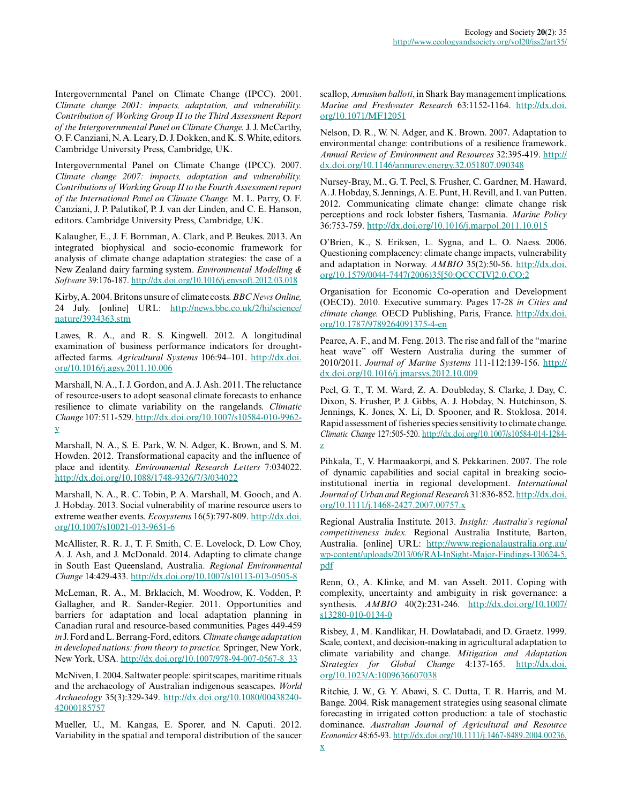Intergovernmental Panel on Climate Change (IPCC). 2001. *Climate change 2001: impacts, adaptation, and vulnerability. Contribution of Working Group II to the Third Assessment Report of the Intergovernmental Panel on Climate Change.* J. J. McCarthy, O. F. Canziani, N. A. Leary, D. J. Dokken, and K. S. White, editors. Cambridge University Press, Cambridge, UK.

Intergovernmental Panel on Climate Change (IPCC). 2007. *Climate change 2007: impacts, adaptation and vulnerability. Contributions of Working Group II to the Fourth Assessment report of the International Panel on Climate Change.* M. L. Parry, O. F. Canziani, J. P. Palutikof, P. J. van der Linden, and C. E. Hanson, editors. Cambridge University Press, Cambridge, UK.

Kalaugher, E., J. F. Bornman, A. Clark, and P. Beukes. 2013. An integrated biophysical and socio-economic framework for analysis of climate change adaptation strategies: the case of a New Zealand dairy farming system. *Environmental Modelling & Software* 39:176-187. [http://dx.doi.org/10.1016/j.envsoft.2012.03.018](http://dx.doi.org/10.1016%2Fj.envsoft.2012.03.018) 

Kirby, A. 2004. Britons unsure of climate costs. *BBC News Online,* 24 July. [online] URL: [http://news.bbc.co.uk/2/hi/science/](http://news.bbc.co.uk/2/hi/science/nature/3934363.stm) [nature/3934363.stm](http://news.bbc.co.uk/2/hi/science/nature/3934363.stm) 

Lawes, R. A., and R. S. Kingwell. 2012. A longitudinal examination of business performance indicators for droughtaffected farms. *Agricultural Systems* 106:94–101. [http://dx.doi.](http://dx.doi.org/10.1016%2Fj.agsy.2011.10.006) [org/10.1016/j.agsy.2011.10.006](http://dx.doi.org/10.1016%2Fj.agsy.2011.10.006) 

Marshall, N. A., I. J. Gordon, and A. J. Ash. 2011. The reluctance of resource-users to adopt seasonal climate forecasts to enhance resilience to climate variability on the rangelands. *Climatic Change* 107:511-529. [http://dx.doi.org/10.1007/s10584-010-9962](http://dx.doi.org/10.1007%2Fs10584-010-9962-y) [y](http://dx.doi.org/10.1007%2Fs10584-010-9962-y)

Marshall, N. A., S. E. Park, W. N. Adger, K. Brown, and S. M. Howden. 2012. Transformational capacity and the influence of place and identity. *Environmental Research Letters* 7:034022. [http://dx.doi.org/10.1088/1748-9326/7/3/034022](http://dx.doi.org/10.1088%2F1748-9326%2F7%2F3%2F034022) 

Marshall, N. A., R. C. Tobin, P. A. Marshall, M. Gooch, and A. J. Hobday. 2013. Social vulnerability of marine resource users to extreme weather events. *Ecosystems* 16(5):797-809. [http://dx.doi.](http://dx.doi.org/10.1007%2Fs10021-013-9651-6) [org/10.1007/s10021-013-9651-6](http://dx.doi.org/10.1007%2Fs10021-013-9651-6)

McAllister, R. R. J., T. F. Smith, C. E. Lovelock, D. Low Choy, A. J. Ash, and J. McDonald. 2014. Adapting to climate change in South East Queensland, Australia. *Regional Environmental Change* 14:429-433. [http://dx.doi.org/10.1007/s10113-013-0505-8](http://dx.doi.org/10.1007%2Fs10113-013-0505-8) 

McLeman, R. A., M. Brklacich, M. Woodrow, K. Vodden, P. Gallagher, and R. Sander-Regier. 2011. Opportunities and barriers for adaptation and local adaptation planning in Canadian rural and resource-based communities. Pages 449-459 *in* J. Ford and L. Berrang-Ford, editors. *Climate change adaptation in developed nations: from theory to practice.* Springer, New York, New York, USA. [http://dx.doi.org/10.1007/978-94-007-0567-8\\_33](http://dx.doi.org/10.1007%2F978-94-007-0567-8_33) 

McNiven, I. 2004. Saltwater people: spiritscapes, maritime rituals and the archaeology of Australian indigenous seascapes. *World Archaeology* 35(3):329-349. [http://dx.doi.org/10.1080/00438240](http://dx.doi.org/10.1080%2F0043824042000185757) [42000185757](http://dx.doi.org/10.1080%2F0043824042000185757) 

Mueller, U., M. Kangas, E. Sporer, and N. Caputi. 2012. Variability in the spatial and temporal distribution of the saucer scallop, *Amusium balloti*, in Shark Bay management implications. *Marine and Freshwater Research* 63:1152-1164. [http://dx.doi.](http://dx.doi.org/10.1071%2FMF12051) [org/10.1071/MF12051](http://dx.doi.org/10.1071%2FMF12051) 

Nelson, D. R., W. N. Adger, and K. Brown. 2007. Adaptation to environmental change: contributions of a resilience framework. *Annual Review of Environment and Resources* 32:395-419. [http://](http://dx.doi.org/10.1146%2Fannurev.energy.32.051807.090348) [dx.doi.org/10.1146/annurev.energy.32.051807.090348](http://dx.doi.org/10.1146%2Fannurev.energy.32.051807.090348) 

Nursey-Bray, M., G. T. Pecl, S. Frusher, C. Gardner, M. Haward, A. J. Hobday, S. Jennings, A. E. Punt, H. Revill, and I. van Putten. 2012. Communicating climate change: climate change risk perceptions and rock lobster fishers, Tasmania. *Marine Policy* 36:753-759. [http://dx.doi.org/10.1016/j.marpol.2011.10.015](http://dx.doi.org/10.1016%2Fj.marpol.2011.10.015) 

O'Brien, K., S. Eriksen, L. Sygna, and L. O. Naess. 2006. Questioning complacency: climate change impacts, vulnerability and adaptation in Norway. *AMBIO* 35(2):50-56. [http://dx.doi.](http://dx.doi.org/10.1579%2F0044-7447%282006%2935%5B50%3AQCCCIV%5D2.0.CO%3B2) [org/10.1579/0044-7447\(2006\)35\[50:QCCCIV\]2.0.CO;2](http://dx.doi.org/10.1579%2F0044-7447%282006%2935%5B50%3AQCCCIV%5D2.0.CO%3B2)

Organisation for Economic Co-operation and Development (OECD). 2010. Executive summary. Pages 17-28 *in Cities and climate change.* OECD Publishing, Paris, France. [http://dx.doi.](http://dx.doi.org/10.1787%2F9789264091375-4-en) [org/10.1787/9789264091375-4-en](http://dx.doi.org/10.1787%2F9789264091375-4-en)

Pearce, A. F., and M. Feng. 2013. The rise and fall of the "marine heat wave" off Western Australia during the summer of 2010/2011. *Journal of Marine Systems* 111-112:139-156. [http://](http://dx.doi.org/10.1016%2Fj.jmarsys.2012.10.009) [dx.doi.org/10.1016/j.jmarsys.2012.10.009](http://dx.doi.org/10.1016%2Fj.jmarsys.2012.10.009)

Pecl, G. T., T. M. Ward, Z. A. Doubleday, S. Clarke, J. Day, C. Dixon, S. Frusher, P. J. Gibbs, A. J. Hobday, N. Hutchinson, S. Jennings, K. Jones, X. Li, D. Spooner, and R. Stoklosa. 2014. Rapid assessment of fisheries species sensitivity to climate change. *Climatic Change* 127:505-520. [http://dx.doi.org/10.1007/s10584-014-1284](http://dx.doi.org/10.1007%2Fs10584-014-1284-z) [z](http://dx.doi.org/10.1007%2Fs10584-014-1284-z) 

Pihkala, T., V. Harmaakorpi, and S. Pekkarinen. 2007. The role of dynamic capabilities and social capital in breaking socioinstitutional inertia in regional development. *International Journal of Urban and Regional Research* 31:836-852. [http://dx.doi.](http://dx.doi.org/10.1111%2Fj.1468-2427.2007.00757.x) [org/10.1111/j.1468-2427.2007.00757.x](http://dx.doi.org/10.1111%2Fj.1468-2427.2007.00757.x)

Regional Australia Institute. 2013. *Insight: Australia's regional competitiveness index.* Regional Australia Institute, Barton, Australia. [online] URL: [http://www.regionalaustralia.org.au/](http://www.regionalaustralia.org.au/wp-content/uploads/2013/06/RAI-InSight-Major-Findings-130624-5.pdf) [wp-content/uploads/2013/06/RAI-InSight-Major-Findings-130624-5.](http://www.regionalaustralia.org.au/wp-content/uploads/2013/06/RAI-InSight-Major-Findings-130624-5.pdf) [pdf](http://www.regionalaustralia.org.au/wp-content/uploads/2013/06/RAI-InSight-Major-Findings-130624-5.pdf)

Renn, O., A. Klinke, and M. van Asselt. 2011. Coping with complexity, uncertainty and ambiguity in risk governance: a synthesis. *AMBIO* 40(2):231-246. [http://dx.doi.org/10.1007/](http://dx.doi.org/10.1007%2Fs13280-010-0134-0) [s13280-010-0134-0](http://dx.doi.org/10.1007%2Fs13280-010-0134-0) 

Risbey, J., M. Kandlikar, H. Dowlatabadi, and D. Graetz. 1999. Scale, context, and decision-making in agricultural adaptation to climate variability and change. *Mitigation and Adaptation Strategies for Global Change* 4:137-165. [http://dx.doi.](http://dx.doi.org/10.1023%2FA%3A1009636607038) [org/10.1023/A:1009636607038](http://dx.doi.org/10.1023%2FA%3A1009636607038)

Ritchie, J. W., G. Y. Abawi, S. C. Dutta, T. R. Harris, and M. Bange. 2004. Risk management strategies using seasonal climate forecasting in irrigated cotton production: a tale of stochastic dominance. *Australian Journal of Agricultural and Resource Economics* 48:65-93. [http://dx.doi.org/10.1111/j.1467-8489.2004.00236.](http://dx.doi.org/10.1111/j.1467-8489.2004.00236.x)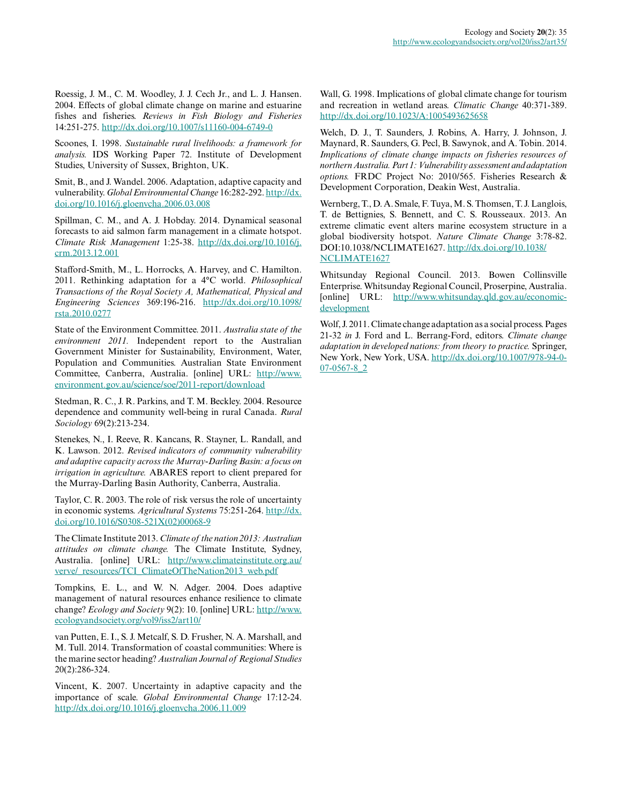Roessig, J. M., C. M. Woodley, J. J. Cech Jr., and L. J. Hansen. 2004. Effects of global climate change on marine and estuarine fishes and fisheries. *Reviews in Fish Biology and Fisheries* 14:251-275. [http://dx.doi.org/10.1007/s11160-004-6749-0](http://dx.doi.org/10.1007%2Fs11160-004-6749-0)

Scoones, I. 1998. *Sustainable rural livelihoods: a framework for analysis.* IDS Working Paper 72. Institute of Development Studies, University of Sussex, Brighton, UK.

Smit, B., and J. Wandel. 2006. Adaptation, adaptive capacity and vulnerability. *Global Environmental Change* 16:282-292. [http://dx.](http://dx.doi.org/10.1016%2Fj.gloenvcha.2006.03.008) [doi.org/10.1016/j.gloenvcha.2006.03.008](http://dx.doi.org/10.1016%2Fj.gloenvcha.2006.03.008) 

Spillman, C. M., and A. J. Hobday. 2014. Dynamical seasonal forecasts to aid salmon farm management in a climate hotspot. *Climate Risk Management* 1:25-38. [http://dx.doi.org/10.1016/j.](http://dx.doi.org/10.1016%2Fj.crm.2013.12.001) [crm.2013.12.001](http://dx.doi.org/10.1016%2Fj.crm.2013.12.001) 

Stafford-Smith, M., L. Horrocks, A. Harvey, and C. Hamilton. 2011. Rethinking adaptation for a 4°C world. *Philosophical Transactions of the Royal Society A, Mathematical, Physical and Engineering Sciences* 369:196-216. [http://dx.doi.org/10.1098/](http://dx.doi.org/10.1098%2Frsta.2010.0277) [rsta.2010.0277](http://dx.doi.org/10.1098%2Frsta.2010.0277)

State of the Environment Committee. 2011. *Australia state of the environment 2011.* Independent report to the Australian Government Minister for Sustainability, Environment, Water, Population and Communities. Australian State Environment Committee, Canberra, Australia. [online] URL: [http://www.](http://www.environment.gov.au/science/soe/2011-report/download) [environment.gov.au/science/soe/2011-report/download](http://www.environment.gov.au/science/soe/2011-report/download) 

Stedman, R. C., J. R. Parkins, and T. M. Beckley. 2004. Resource dependence and community well-being in rural Canada. *Rural Sociology* 69(2):213-234.

Stenekes, N., I. Reeve, R. Kancans, R. Stayner, L. Randall, and K. Lawson. 2012. *Revised indicators of community vulnerability and adaptive capacity across the Murray-Darling Basin: a focus on irrigation in agriculture.* ABARES report to client prepared for the Murray-Darling Basin Authority, Canberra, Australia.

Taylor, C. R. 2003. The role of risk versus the role of uncertainty in economic systems. *Agricultural Systems* 75:251-264. [http://dx.](http://dx.doi.org/10.1016%2FS0308-521X%2802%2900068-9) [doi.org/10.1016/S0308-521X\(02\)00068-9](http://dx.doi.org/10.1016%2FS0308-521X%2802%2900068-9)

The Climate Institute 2013. *Climate of the nation 2013: Australian attitudes on climate change.* The Climate Institute, Sydney, Australia. [online] URL: [http://www.climateinstitute.org.au/](http://www.climateinstitute.org.au/verve/_resources/TCI_ClimateOfTheNation2013_web.pdf) [verve/\\_resources/TCI\\_ClimateOfTheNation2013\\_web.pdf](http://www.climateinstitute.org.au/verve/_resources/TCI_ClimateOfTheNation2013_web.pdf)

Tompkins, E. L., and W. N. Adger. 2004. Does adaptive management of natural resources enhance resilience to climate change? *Ecology and Society* 9(2): 10. [online] URL: [http://www.](http://www.ecologyandsociety.org/vol9/iss2/art10/) [ecologyandsociety.org/vol9/iss2/art10/](http://www.ecologyandsociety.org/vol9/iss2/art10/) 

van Putten, E. I., S. J. Metcalf, S. D. Frusher, N. A. Marshall, and M. Tull. 2014. Transformation of coastal communities: Where is the marine sector heading? *Australian Journal of Regional Studies* 20(2):286-324.

Vincent, K. 2007. Uncertainty in adaptive capacity and the importance of scale. *Global Environmental Change* 17:12-24. [http://dx.doi.org/10.1016/j.gloenvcha.2006.11.009](http://dx.doi.org/10.1016%2Fj.gloenvcha.2006.11.009)

Wall, G. 1998. Implications of global climate change for tourism and recreation in wetland areas. *Climatic Change* 40:371-389. [http://dx.doi.org/10.1023/A:1005493625658](http://dx.doi.org/10.1023%2FA%3A1005493625658)

Welch, D. J., T. Saunders, J. Robins, A. Harry, J. Johnson, J. Maynard, R. Saunders, G. Pecl, B. Sawynok, and A. Tobin. 2014. *Implications of climate change impacts on fisheries resources of northern Australia. Part 1: Vulnerability assessment and adaptation options.* FRDC Project No: 2010/565. Fisheries Research & Development Corporation, Deakin West, Australia.

Wernberg, T., D. A. Smale, F. Tuya, M. S. Thomsen, T. J. Langlois, T. de Bettignies, S. Bennett, and C. S. Rousseaux. 2013. An extreme climatic event alters marine ecosystem structure in a global biodiversity hotspot. *Nature Climate Change* 3:78-82. DOI:10.1038/NCLIMATE1627. [http://dx.doi.org/10.1038/](http://dx.doi.org/10.1038%2FNCLIMATE1627) [NCLIMATE1627](http://dx.doi.org/10.1038%2FNCLIMATE1627) 

Whitsunday Regional Council. 2013. Bowen Collinsville Enterprise. Whitsunday Regional Council, Proserpine, Australia. [online] URL: [http://www.whitsunday.qld.gov.au/economic](http://www.whitsunday.qld.gov.au/economic-development)[development](http://www.whitsunday.qld.gov.au/economic-development) 

Wolf, J. 2011. Climate change adaptation as a social process. Pages 21-32 *in* J. Ford and L. Berrang-Ford, editors. *Climate change adaptation in developed nations: from theory to practice.* Springer, New York, New York, USA. [http://dx.doi.org/10.1007/978-94-0](http://dx.doi.org/10.1007%2F978-94-007-0567-8_2) [07-0567-8\\_2](http://dx.doi.org/10.1007%2F978-94-007-0567-8_2)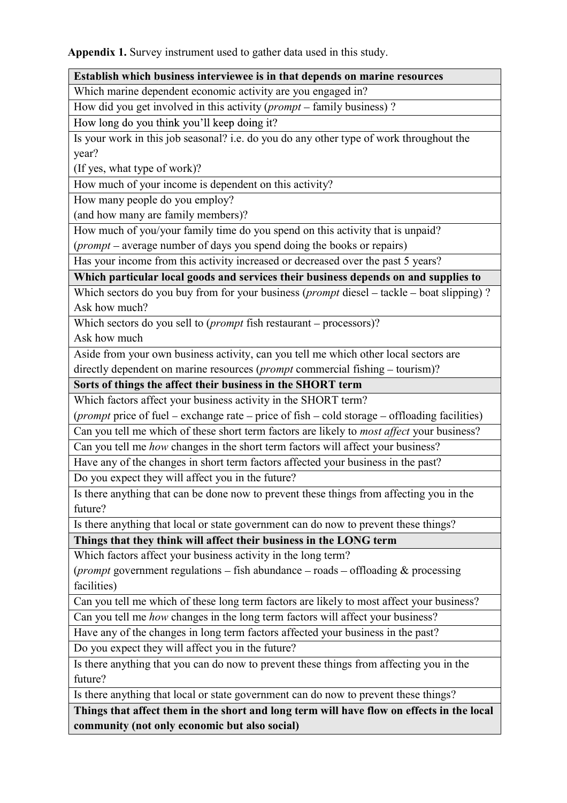**Appendix 1.** Survey instrument used to gather data used in this study.

| Establish which business interviewee is in that depends on marine resources                       |
|---------------------------------------------------------------------------------------------------|
| Which marine dependent economic activity are you engaged in?                                      |
| How did you get involved in this activity ( <i>prompt</i> – family business)?                     |
| How long do you think you'll keep doing it?                                                       |
| Is your work in this job seasonal? i.e. do you do any other type of work throughout the           |
| year?                                                                                             |
| (If yes, what type of work)?                                                                      |
| How much of your income is dependent on this activity?                                            |
| How many people do you employ?                                                                    |
| (and how many are family members)?                                                                |
| How much of you/your family time do you spend on this activity that is unpaid?                    |
| (prompt – average number of days you spend doing the books or repairs)                            |
| Has your income from this activity increased or decreased over the past 5 years?                  |
| Which particular local goods and services their business depends on and supplies to               |
| Which sectors do you buy from for your business ( <i>prompt</i> diesel – tackle – boat slipping)? |
| Ask how much?                                                                                     |
| Which sectors do you sell to ( <i>prompt</i> fish restaurant – processors)?                       |
| Ask how much                                                                                      |
| Aside from your own business activity, can you tell me which other local sectors are              |
| directly dependent on marine resources (prompt commercial fishing - tourism)?                     |
| Sorts of things the affect their business in the SHORT term                                       |
| Which factors affect your business activity in the SHORT term?                                    |
| (prompt price of fuel – exchange rate – price of fish – cold storage – offloading facilities)     |
| Can you tell me which of these short term factors are likely to <i>most affect</i> your business? |
| Can you tell me how changes in the short term factors will affect your business?                  |
| Have any of the changes in short term factors affected your business in the past?                 |
| Do you expect they will affect you in the future?                                                 |
| Is there anything that can be done now to prevent these things from affecting you in the          |
| future?                                                                                           |
| Is there anything that local or state government can do now to prevent these things?              |
| Things that they think will affect their business in the LONG term                                |
| Which factors affect your business activity in the long term?                                     |
| (prompt government regulations - fish abundance - roads - offloading $&$ processing               |
| facilities)                                                                                       |
| Can you tell me which of these long term factors are likely to most affect your business?         |
| Can you tell me how changes in the long term factors will affect your business?                   |
| Have any of the changes in long term factors affected your business in the past?                  |
| Do you expect they will affect you in the future?                                                 |
| Is there anything that you can do now to prevent these things from affecting you in the           |
| future?                                                                                           |
| Is there anything that local or state government can do now to prevent these things?              |
| Things that affect them in the short and long term will have flow on effects in the local         |
| community (not only economic but also social)                                                     |